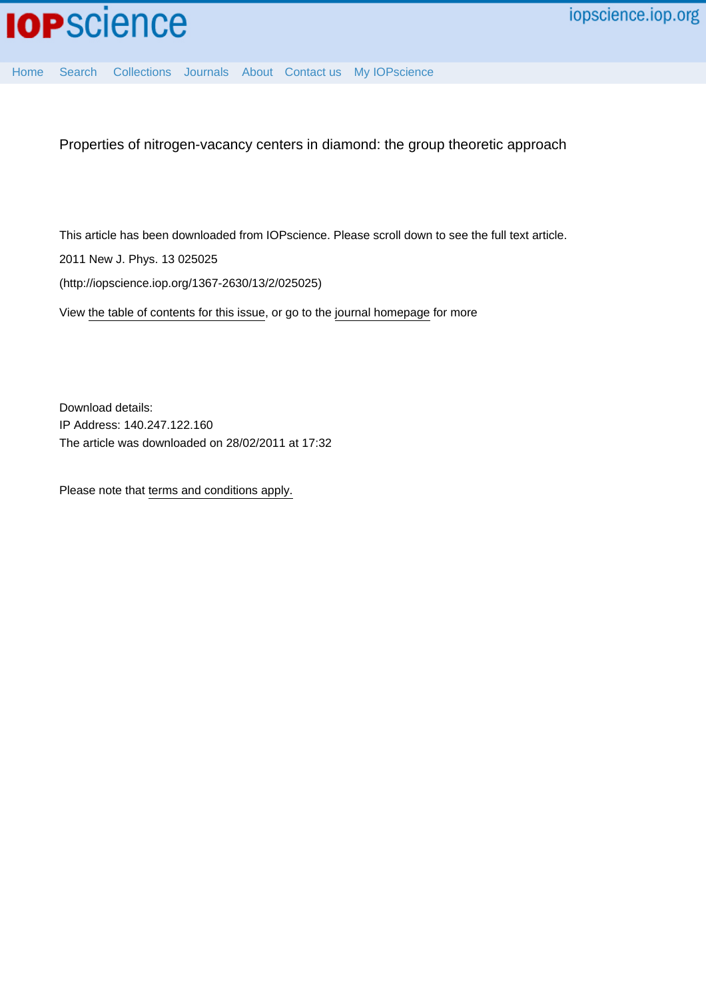

[Home](http://iopscience.iop.org/) [Search](http://iopscience.iop.org/search) [Collections](http://iopscience.iop.org/collections) [Journals](http://iopscience.iop.org/journals) [About](http://iopscience.iop.org/page/aboutioppublishing) [Contact us](http://iopscience.iop.org/contact) [My IOPscience](http://iopscience.iop.org/myiopscience)

Properties of nitrogen-vacancy centers in diamond: the group theoretic approach

This article has been downloaded from IOPscience. Please scroll down to see the full text article.

2011 New J. Phys. 13 025025

(http://iopscience.iop.org/1367-2630/13/2/025025)

View [the table of contents for this issue](http://iopscience.iop.org/1367-2630/13/2), or go to the [journal homepage](http://iopscience.iop.org/1367-2630) for more

Download details: IP Address: 140.247.122.160 The article was downloaded on 28/02/2011 at 17:32

Please note that [terms and conditions apply.](http://iopscience.iop.org/page/terms)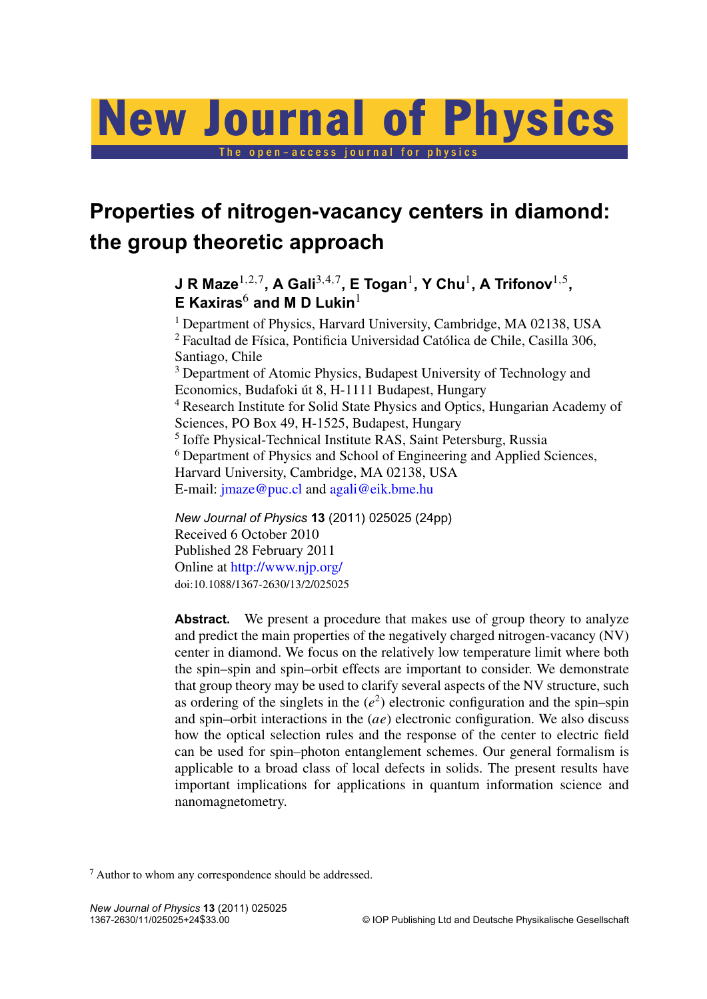# <span id="page-1-0"></span>New Journal of Physics

The open-access journal for physics

# **Properties of nitrogen-vacancy centers in diamond: the group theoretic approach**

<code>J R Maze $^{1,2,7}$ , A Gali $^{3,4,7}$ , E Togan $^{1}$ , Y Chu $^{1}$ , A Trifonov $^{1,5}$ ,</code> **E Kaxiras**<sup>6</sup> and M D Lukin<sup>1</sup>

<sup>1</sup> Department of Physics, Harvard University, Cambridge, MA 02138, USA <sup>2</sup> Facultad de Física, Pontificia Universidad Católica de Chile, Casilla 306, Santiago, Chile <sup>3</sup> Department of Atomic Physics, Budapest University of Technology and Economics, Budafoki út 8, H-1111 Budapest, Hungary <sup>4</sup> Research Institute for Solid State Physics and Optics, Hungarian Academy of Sciences, PO Box 49, H-1525, Budapest, Hungary <sup>5</sup> Ioffe Physical-Technical Institute RAS, Saint Petersburg, Russia <sup>6</sup> Department of Physics and School of Engineering and Applied Sciences, Harvard University, Cambridge, MA 02138, USA E-mail: [jmaze@puc.cl](mailto:jmaze@puc.cl) and [agali@eik.bme.hu](mailto:agali@eik.bme.hu)

*New Journal of Physics* **13** (2011) 025025 (24pp) Received 6 October 2010 Published 28 February 2011 Online at <http://www.njp.org/> doi:10.1088/1367-2630/13/2/025025

**Abstract.** We present a procedure that makes use of group theory to analyze and predict the main properties of the negatively charged nitrogen-vacancy (NV) center in diamond. We focus on the relatively low temperature limit where both the spin–spin and spin–orbit effects are important to consider. We demonstrate that group theory may be used to clarify several aspects of the NV structure, such as ordering of the singlets in the  $(e^2)$  electronic configuration and the spin–spin and spin–orbit interactions in the (*ae*) electronic configuration. We also discuss how the optical selection rules and the response of the center to electric field can be used for spin–photon entanglement schemes. Our general formalism is applicable to a broad class of local defects in solids. The present results have important implications for applications in quantum information science and nanomagnetometry.

<sup>7</sup> Author to whom any correspondence should be addressed.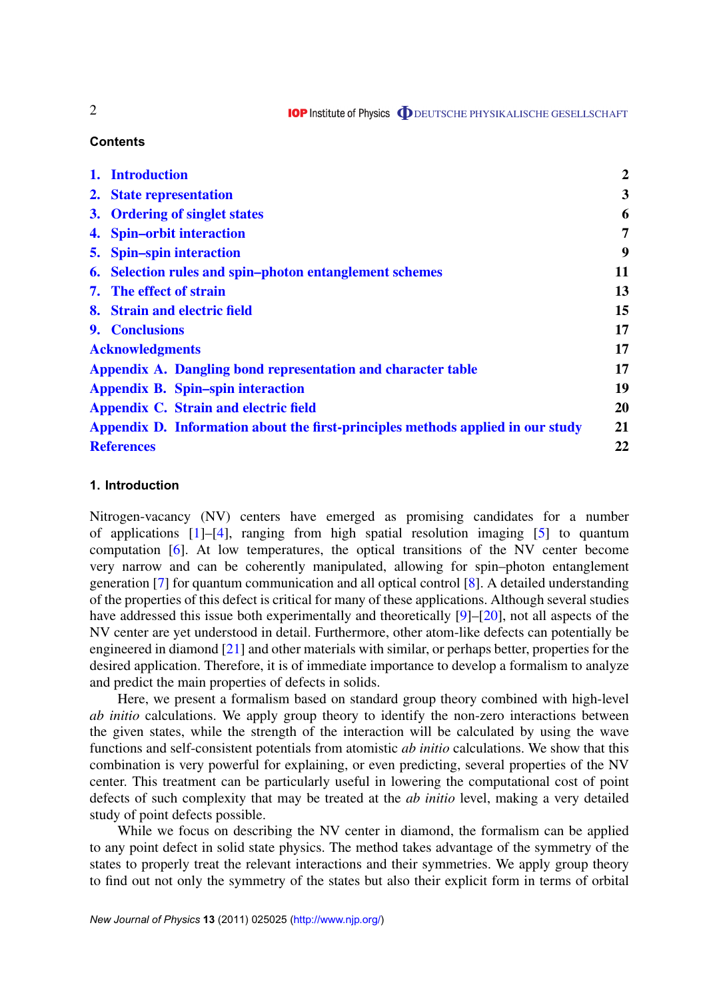**IOP** Institute of Physics **ODEUTSCHE PHYSIKALISCHE GESELLSCHAFT** 

# **Contents**

| 1. Introduction                                                                 | $\overline{2}$ |  |  |  |
|---------------------------------------------------------------------------------|----------------|--|--|--|
| 2. State representation                                                         | 3              |  |  |  |
| 3. Ordering of singlet states                                                   | 6              |  |  |  |
| 4. Spin-orbit interaction                                                       | 7              |  |  |  |
| <b>5.</b> Spin–spin interaction                                                 | 9              |  |  |  |
| 6. Selection rules and spin-photon entanglement schemes                         | 11             |  |  |  |
| 7. The effect of strain                                                         | 13             |  |  |  |
| 8. Strain and electric field                                                    |                |  |  |  |
| 9. Conclusions                                                                  | 17             |  |  |  |
| <b>Acknowledgments</b>                                                          | 17             |  |  |  |
| Appendix A. Dangling bond representation and character table                    | 17             |  |  |  |
| Appendix B. Spin-spin interaction                                               | 19             |  |  |  |
| Appendix C. Strain and electric field                                           | 20             |  |  |  |
| Appendix D. Information about the first-principles methods applied in our study | 21             |  |  |  |
| <b>References</b>                                                               | 22             |  |  |  |

# **1. Introduction**

Nitrogen-vacancy (NV) centers have emerged as promising candidates for a number of applications [\[1\]](#page-22-0)–[\[4\]](#page-22-0), ranging from high spatial resolution imaging [\[5\]](#page-22-0) to quantum computation [\[6\]](#page-22-0). At low temperatures, the optical transitions of the NV center become very narrow and can be coherently manipulated, allowing for spin–photon entanglement generation [\[7\]](#page-22-0) for quantum communication and all optical control [\[8\]](#page-22-0). A detailed understanding of the properties of this defect is critical for many of these applications. Although several studies have addressed this issue both experimentally and theoretically [\[9\]](#page-22-0)–[\[20\]](#page-23-0), not all aspects of the NV center are yet understood in detail. Furthermore, other atom-like defects can potentially be engineered in diamond [\[21\]](#page-23-0) and other materials with similar, or perhaps better, properties for the desired application. Therefore, it is of immediate importance to develop a formalism to analyze and predict the main properties of defects in solids.

Here, we present a formalism based on standard group theory combined with high-level *ab initio* calculations. We apply group theory to identify the non-zero interactions between the given states, while the strength of the interaction will be calculated by using the wave functions and self-consistent potentials from atomistic *ab initio* calculations. We show that this combination is very powerful for explaining, or even predicting, several properties of the NV center. This treatment can be particularly useful in lowering the computational cost of point defects of such complexity that may be treated at the *ab initio* level, making a very detailed study of point defects possible.

While we focus on describing the NV center in diamond, the formalism can be applied to any point defect in solid state physics. The method takes advantage of the symmetry of the states to properly treat the relevant interactions and their symmetries. We apply group theory to find out not only the symmetry of the states but also their explicit form in terms of orbital

2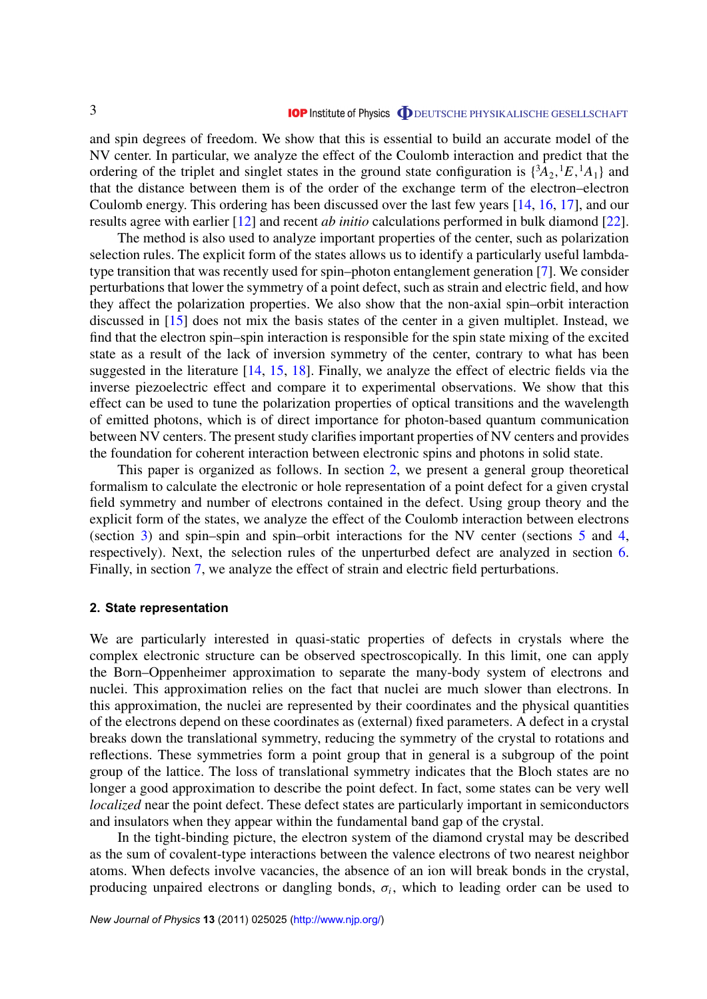<span id="page-3-0"></span>and spin degrees of freedom. We show that this is essential to build an accurate model of the NV center. In particular, we analyze the effect of the Coulomb interaction and predict that the ordering of the triplet and singlet states in the ground state configuration is  $\{^{3}A_{2},^{1}E,^{1}A_{1}\}$  and that the distance between them is of the order of the exchange term of the electron–electron Coulomb energy. This ordering has been discussed over the last few years [\[14,](#page-23-0) [16,](#page-23-0) [17\]](#page-23-0), and our results agree with earlier [\[12\]](#page-22-0) and recent *ab initio* calculations performed in bulk diamond [\[22\]](#page-1-0).

The method is also used to analyze important properties of the center, such as polarization selection rules. The explicit form of the states allows us to identify a particularly useful lambdatype transition that was recently used for spin–photon entanglement generation [\[7\]](#page-22-0). We consider perturbations that lower the symmetry of a point defect, such as strain and electric field, and how they affect the polarization properties. We also show that the non-axial spin–orbit interaction discussed in [\[15\]](#page-23-0) does not mix the basis states of the center in a given multiplet. Instead, we find that the electron spin–spin interaction is responsible for the spin state mixing of the excited state as a result of the lack of inversion symmetry of the center, contrary to what has been suggested in the literature [\[14,](#page-23-0) [15,](#page-23-0) [18\]](#page-23-0). Finally, we analyze the effect of electric fields via the inverse piezoelectric effect and compare it to experimental observations. We show that this effect can be used to tune the polarization properties of optical transitions and the wavelength of emitted photons, which is of direct importance for photon-based quantum communication between NV centers. The present study clarifies important properties of NV centers and provides the foundation for coherent interaction between electronic spins and photons in solid state.

This paper is organized as follows. In section 2, we present a general group theoretical formalism to calculate the electronic or hole representation of a point defect for a given crystal field symmetry and number of electrons contained in the defect. Using group theory and the explicit form of the states, we analyze the effect of the Coulomb interaction between electrons (section [3\)](#page-6-0) and spin–spin and spin–orbit interactions for the NV center (sections [5](#page-8-0) and [4,](#page-7-0) respectively). Next, the selection rules of the unperturbed defect are analyzed in section [6.](#page-11-0) Finally, in section [7,](#page-13-0) we analyze the effect of strain and electric field perturbations.

#### **2. State representation**

We are particularly interested in quasi-static properties of defects in crystals where the complex electronic structure can be observed spectroscopically. In this limit, one can apply the Born–Oppenheimer approximation to separate the many-body system of electrons and nuclei. This approximation relies on the fact that nuclei are much slower than electrons. In this approximation, the nuclei are represented by their coordinates and the physical quantities of the electrons depend on these coordinates as (external) fixed parameters. A defect in a crystal breaks down the translational symmetry, reducing the symmetry of the crystal to rotations and reflections. These symmetries form a point group that in general is a subgroup of the point group of the lattice. The loss of translational symmetry indicates that the Bloch states are no longer a good approximation to describe the point defect. In fact, some states can be very well *localized* near the point defect. These defect states are particularly important in semiconductors and insulators when they appear within the fundamental band gap of the crystal.

In the tight-binding picture, the electron system of the diamond crystal may be described as the sum of covalent-type interactions between the valence electrons of two nearest neighbor atoms. When defects involve vacancies, the absence of an ion will break bonds in the crystal, producing unpaired electrons or dangling bonds,  $\sigma_i$ , which to leading order can be used to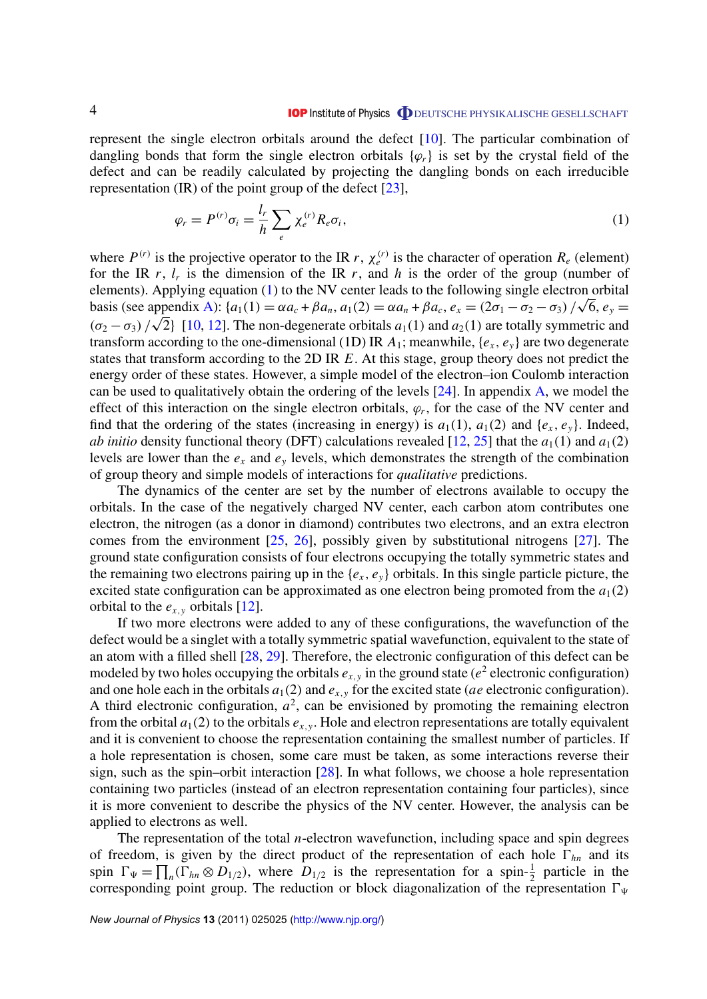<span id="page-4-0"></span>represent the single electron orbitals around the defect [\[10\]](#page-22-0). The particular combination of dangling bonds that form the single electron orbitals  $\{\varphi_r\}$  is set by the crystal field of the defect and can be readily calculated by projecting the dangling bonds on each irreducible representation  $(IR)$  of the point group of the defect  $[23]$ ,

$$
\varphi_r = P^{(r)} \sigma_i = \frac{l_r}{h} \sum_e \chi_e^{(r)} R_e \sigma_i,\tag{1}
$$

where  $P^{(r)}$  is the projective operator to the IR *r*,  $\chi_e^{(r)}$  is the character of operation  $R_e$  (element) for the IR  $r$ ,  $l_r$  is the dimension of the IR  $r$ , and  $h$  is the order of the group (number of elements). Applying equation (1) to the NV center leads to the following single electron orbital basis (see appendix [A\)](#page-17-0): { $a_1(1) = \alpha a_c + \beta a_n$ ,  $a_1(2) = \alpha a_n + \beta a_c$ ,  $e_x = (2\sigma_1 - \sigma_2 - \sigma_3) / \sqrt{6}$ ,  $e_y =$  $(\sigma_2 - \sigma_3)/\sqrt{2}$  [\[10,](#page-22-0) [12\]](#page-22-0). The non-degenerate orbitals  $a_1(1)$  and  $a_2(1)$  are totally symmetric and transform according to the one-dimensional (1D) IR  $A_1$ ; meanwhile,  $\{e_x, e_y\}$  are two degenerate states that transform according to the 2D IR *E*. At this stage, group theory does not predict the energy order of these states. However, a simple model of the electron–ion Coulomb interaction can be used to qualitatively obtain the ordering of the levels [\[24\]](#page-23-0). In appendix [A,](#page-17-0) we model the effect of this interaction on the single electron orbitals,  $\varphi_r$ , for the case of the NV center and find that the ordering of the states (increasing in energy) is  $a_1(1)$ ,  $a_1(2)$  and  $\{e_x, e_y\}$ . Indeed, *ab initio* density functional theory (DFT) calculations revealed [\[12,](#page-22-0) [25\]](#page-23-0) that the  $a_1(1)$  and  $a_1(2)$ levels are lower than the *e<sup>x</sup>* and *e<sup>y</sup>* levels, which demonstrates the strength of the combination of group theory and simple models of interactions for *qualitative* predictions.

The dynamics of the center are set by the number of electrons available to occupy the orbitals. In the case of the negatively charged NV center, each carbon atom contributes one electron, the nitrogen (as a donor in diamond) contributes two electrons, and an extra electron comes from the environment  $[25, 26]$  $[25, 26]$  $[25, 26]$ , possibly given by substitutional nitrogens  $[27]$ . The ground state configuration consists of four electrons occupying the totally symmetric states and the remaining two electrons pairing up in the  $\{e_x, e_y\}$  orbitals. In this single particle picture, the excited state configuration can be approximated as one electron being promoted from the  $a_1(2)$ orbital to the  $e_{x,y}$  orbitals [\[12\]](#page-22-0).

If two more electrons were added to any of these configurations, the wavefunction of the defect would be a singlet with a totally symmetric spatial wavefunction, equivalent to the state of an atom with a filled shell [\[28,](#page-23-0) [29\]](#page-23-0). Therefore, the electronic configuration of this defect can be modeled by two holes occupying the orbitals  $e_{x,y}$  in the ground state ( $e^2$  electronic configuration) and one hole each in the orbitals  $a_1(2)$  and  $e_{x,y}$  for the excited state (*ae* electronic configuration). A third electronic configuration,  $a^2$ , can be envisioned by promoting the remaining electron from the orbital  $a_1(2)$  to the orbitals  $e_{x,y}$ . Hole and electron representations are totally equivalent and it is convenient to choose the representation containing the smallest number of particles. If a hole representation is chosen, some care must be taken, as some interactions reverse their sign, such as the spin–orbit interaction  $[28]$ . In what follows, we choose a hole representation containing two particles (instead of an electron representation containing four particles), since it is more convenient to describe the physics of the NV center. However, the analysis can be applied to electrons as well.

The representation of the total *n*-electron wavefunction, including space and spin degrees of freedom, is given by the direct product of the representation of each hole  $\Gamma_{hn}$  and its spin  $\Gamma_{\Psi} = \prod_n (\Gamma_{hn} \otimes D_{1/2})$ , where  $D_{1/2}$  is the representation for a spin- $\frac{1}{2}$  particle in the corresponding point group. The reduction or block diagonalization of the representation  $\Gamma_{\Psi}$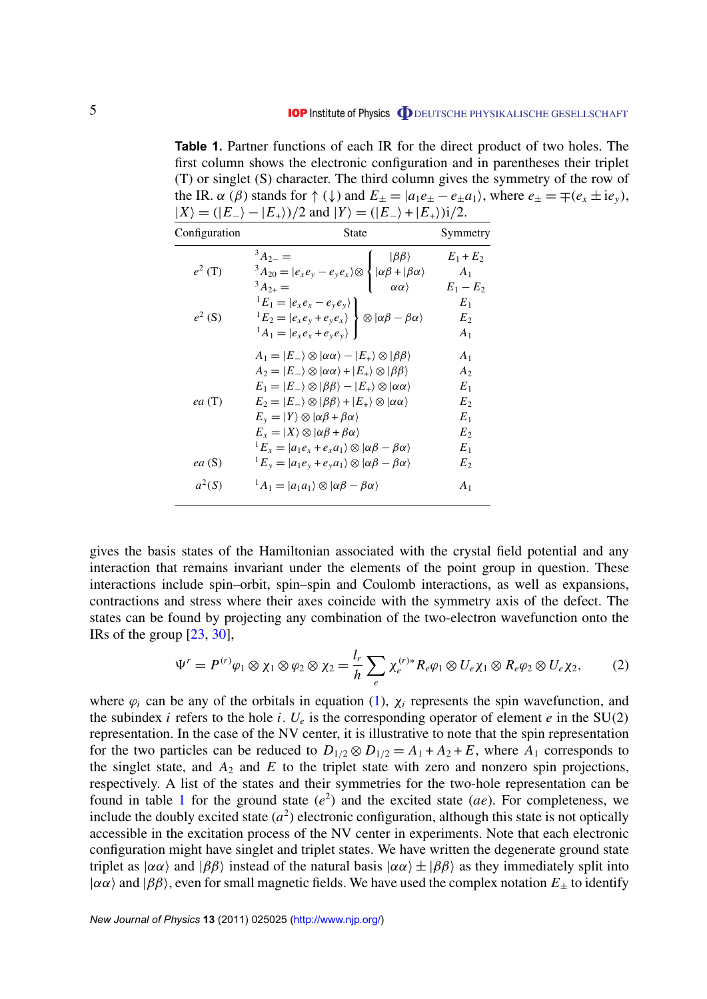<span id="page-5-0"></span>**Table 1.** Partner functions of each IR for the direct product of two holes. The first column shows the electronic configuration and in parentheses their triplet (T) or singlet (S) character. The third column gives the symmetry of the row of the IR.  $\alpha$  ( $\beta$ ) stands for  $\uparrow$  ( $\downarrow$ ) and  $E_{\pm} = |a_1 e_{\pm} - e_{\pm} a_1\rangle$ , where  $e_{\pm} = \mp (e_x \pm i e_y)$ ,  $|X\rangle = (|E_{-}\rangle - |E_{+}\rangle)/2$  and  $|Y\rangle = (|E_{-}\rangle + |E_{+}\rangle)i/2$ .

| Configuration | State                                                                                                                                                                                             | Symmetry |                |
|---------------|---------------------------------------------------------------------------------------------------------------------------------------------------------------------------------------------------|----------|----------------|
|               |                                                                                                                                                                                                   |          | $E_1 + E_2$    |
| $e^2$ (T)     | ${}^3A_{2-} =$<br>${}^3A_{20} =  e_x e_y - e_y e_x \rangle \otimes \begin{cases}  \beta \beta \rangle \\  \alpha \beta +  \beta \alpha \rangle \\ {}^3A_{2+} = \alpha \alpha \rangle \end{cases}$ |          | A <sub>1</sub> |
|               |                                                                                                                                                                                                   |          | $E_1 - E_2$    |
|               | $\left.\begin{array}{l} {}^1E_1= e_xe_x-e_ye_y\rangle\\ {}^1E_2= e_xe_y+e_ye_x\rangle\\ {}^1A_1= e_xe_x+e_ye_y\rangle \end{array}\right\}\otimes  \alpha\beta-\beta\alpha\rangle$                 |          | $E_1$          |
| $e^2$ (S)     |                                                                                                                                                                                                   |          | $E_2$          |
|               |                                                                                                                                                                                                   |          | A <sub>1</sub> |
|               | $A_1 =  E_-\rangle \otimes  \alpha\alpha\rangle -  E_+\rangle \otimes  \beta\beta\rangle$                                                                                                         |          | A <sub>1</sub> |
|               | $A_2 =  E_-\rangle \otimes  \alpha\alpha\rangle +  E_+\rangle \otimes  \beta\beta\rangle$                                                                                                         |          | $A_2$          |
|               | $E_1 =  E_-\rangle \otimes  \beta\beta\rangle -  E_+\rangle \otimes  \alpha\alpha\rangle$                                                                                                         |          | $E_1$          |
| ea(T)         | $E_2 =  E_-\rangle \otimes  \beta\beta\rangle +  E_+\rangle \otimes  \alpha\alpha\rangle$                                                                                                         |          | $E_2$          |
|               | $E_{v} =  Y\rangle \otimes  \alpha\beta + \beta\alpha\rangle$                                                                                                                                     |          | $E_1$          |
|               | $E_x =  X\rangle \otimes  \alpha\beta + \beta\alpha\rangle$                                                                                                                                       |          | $E_2$          |
|               | $E_x =  a_1 e_x + e_x a_1 \rangle \otimes  \alpha \beta - \beta \alpha \rangle$                                                                                                                   |          | $E_1$          |
| ea (S)        | ${}^1E_y =  a_1e_y + e_ya_1\rangle \otimes  \alpha\beta - \beta\alpha\rangle$                                                                                                                     |          | $E_2$          |
| $a^2(S)$      | $A_1 =  a_1 a_1\rangle \otimes  \alpha \beta - \beta \alpha\rangle$                                                                                                                               |          | A <sub>1</sub> |
|               |                                                                                                                                                                                                   |          |                |

gives the basis states of the Hamiltonian associated with the crystal field potential and any interaction that remains invariant under the elements of the point group in question. These interactions include spin–orbit, spin–spin and Coulomb interactions, as well as expansions, contractions and stress where their axes coincide with the symmetry axis of the defect. The states can be found by projecting any combination of the two-electron wavefunction onto the IRs of the group [\[23,](#page-23-0) [30\]](#page-23-0),

$$
\Psi^r = P^{(r)}\varphi_1 \otimes \chi_1 \otimes \varphi_2 \otimes \chi_2 = \frac{l_r}{h} \sum_e \chi_e^{(r)*} R_e \varphi_1 \otimes U_e \chi_1 \otimes R_e \varphi_2 \otimes U_e \chi_2, \tag{2}
$$

where  $\varphi_i$  can be any of the orbitals in equation [\(1\)](#page-4-0),  $\chi_i$  represents the spin wavefunction, and the subindex *i* refers to the hole *i*.  $U_e$  is the corresponding operator of element *e* in the SU(2) representation. In the case of the NV center, it is illustrative to note that the spin representation for the two particles can be reduced to  $D_{1/2} \otimes D_{1/2} = A_1 + A_2 + E$ , where  $A_1$  corresponds to the singlet state, and  $A_2$  and  $E$  to the triplet state with zero and nonzero spin projections, respectively. A list of the states and their symmetries for the two-hole representation can be found in table 1 for the ground state  $(e^2)$  and the excited state  $(ae)$ . For completeness, we include the doubly excited state  $(a^2)$  electronic configuration, although this state is not optically accessible in the excitation process of the NV center in experiments. Note that each electronic configuration might have singlet and triplet states. We have written the degenerate ground state triplet as  $|\alpha\alpha\rangle$  and  $|\beta\beta\rangle$  instead of the natural basis  $|\alpha\alpha\rangle \pm |\beta\beta\rangle$  as they immediately split into  $|\alpha\alpha\rangle$  and  $|\beta\beta\rangle$ , even for small magnetic fields. We have used the complex notation  $E_{\pm}$  to identify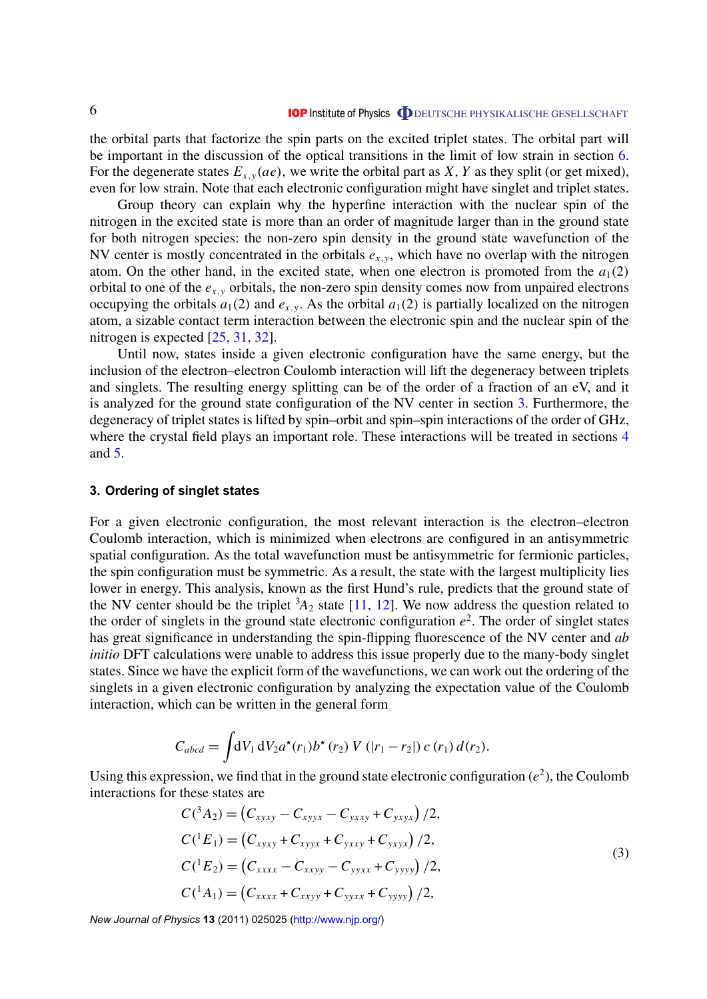<span id="page-6-0"></span>the orbital parts that factorize the spin parts on the excited triplet states. The orbital part will be important in the discussion of the optical transitions in the limit of low strain in section [6.](#page-11-0) For the degenerate states  $E_{x,y}(ae)$ , we write the orbital part as *X*, *Y* as they split (or get mixed), even for low strain. Note that each electronic configuration might have singlet and triplet states.

Group theory can explain why the hyperfine interaction with the nuclear spin of the nitrogen in the excited state is more than an order of magnitude larger than in the ground state for both nitrogen species: the non-zero spin density in the ground state wavefunction of the NV center is mostly concentrated in the orbitals  $e_{x,y}$ , which have no overlap with the nitrogen atom. On the other hand, in the excited state, when one electron is promoted from the  $a_1(2)$ orbital to one of the *e<sup>x</sup>*,*<sup>y</sup>* orbitals, the non-zero spin density comes now from unpaired electrons occupying the orbitals  $a_1(2)$  and  $e_{x,y}$ . As the orbital  $a_1(2)$  is partially localized on the nitrogen atom, a sizable contact term interaction between the electronic spin and the nuclear spin of the nitrogen is expected [\[25,](#page-23-0) [31,](#page-23-0) [32\]](#page-23-0).

Until now, states inside a given electronic configuration have the same energy, but the inclusion of the electron–electron Coulomb interaction will lift the degeneracy between triplets and singlets. The resulting energy splitting can be of the order of a fraction of an eV, and it is analyzed for the ground state configuration of the NV center in section 3. Furthermore, the degeneracy of triplet states is lifted by spin–orbit and spin–spin interactions of the order of GHz, where the crystal field plays an important role. These interactions will be treated in sections [4](#page-7-0) and [5.](#page-8-0)

## **3. Ordering of singlet states**

For a given electronic configuration, the most relevant interaction is the electron–electron Coulomb interaction, which is minimized when electrons are configured in an antisymmetric spatial configuration. As the total wavefunction must be antisymmetric for fermionic particles, the spin configuration must be symmetric. As a result, the state with the largest multiplicity lies lower in energy. This analysis, known as the first Hund's rule, predicts that the ground state of the NV center should be the triplet  ${}^{3}A_2$  state [\[11,](#page-22-0) [12\]](#page-22-0). We now address the question related to the order of singlets in the ground state electronic configuration  $e<sup>2</sup>$ . The order of singlet states has great significance in understanding the spin-flipping fluorescence of the NV center and *ab initio* DFT calculations were unable to address this issue properly due to the many-body singlet states. Since we have the explicit form of the wavefunctions, we can work out the ordering of the singlets in a given electronic configuration by analyzing the expectation value of the Coulomb interaction, which can be written in the general form

$$
C_{abcd} = \int dV_1 dV_2 a^*(r_1) b^*(r_2) V(|r_1 - r_2|) c(r_1) d(r_2).
$$

Using this expression, we find that in the ground state electronic configuration  $(e^2)$ , the Coulomb interactions for these states are

$$
C({}^{3}A_{2}) = (C_{xyxy} - C_{xyyx} - C_{yxxy} + C_{yxyx})/2,
$$
  
\n
$$
C({}^{1}E_{1}) = (C_{xyxy} + C_{xyyx} + C_{yxxy} + C_{yxyx})/2,
$$
  
\n
$$
C({}^{1}E_{2}) = (C_{xxxx} - C_{xxyy} - C_{yyxx} + C_{yyyy})/2,
$$
  
\n
$$
C({}^{1}A_{1}) = (C_{xxxx} + C_{xxyy} + C_{yyxx} + C_{yyyy})/2,
$$
\n(3)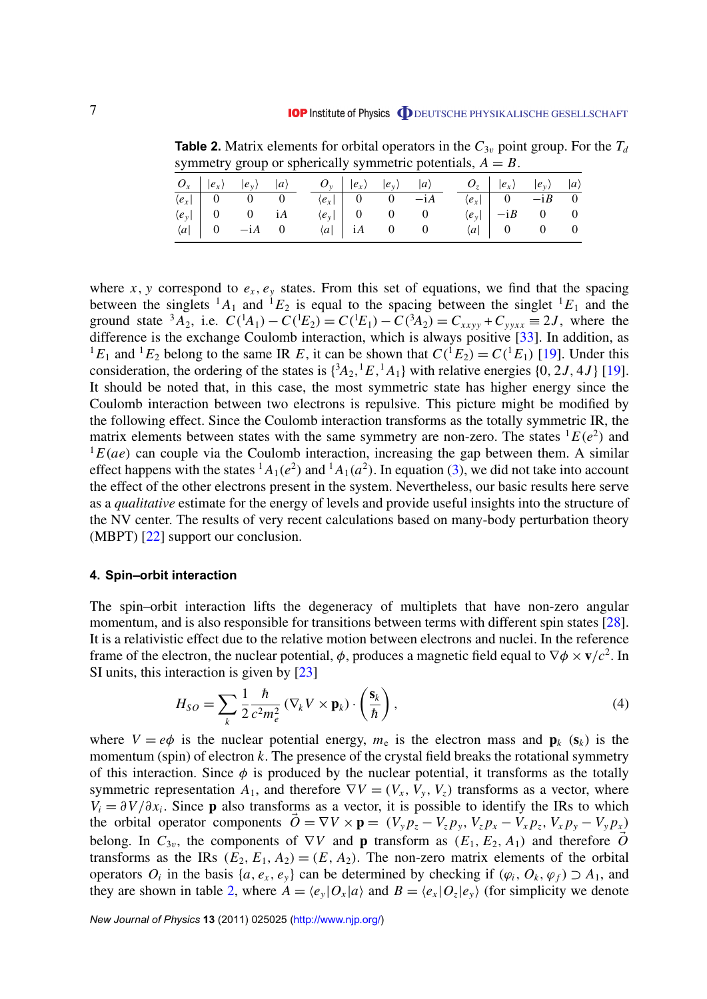|  |                                                          |  |                                             |                       | $O_x \vert e_x \rangle$ $\vert e_y \rangle$ $\vert a \rangle$ $O_y \vert e_x \rangle$ $\vert e_y \rangle$ $\vert a \rangle$ $O_z \vert e_x \rangle$ $\vert e_y \rangle$ $\vert a \rangle$ |                                             |  |
|--|----------------------------------------------------------|--|---------------------------------------------|-----------------------|-------------------------------------------------------------------------------------------------------------------------------------------------------------------------------------------|---------------------------------------------|--|
|  | $\langle e_x   \begin{array}{ccc} 0 & 0 & 0 \end{array}$ |  | $\langle e_x   \ \vert \ \ 0 \ \ 0 \ \ -iA$ |                       |                                                                                                                                                                                           | $\langle e_x   \ \vert \ \ 0 \ \ -iB \ \ 0$ |  |
|  | $\langle e_y   \,   \, 0 \, 0 \, 1A$                     |  |                                             | $\langle e_y  $ 0 0 0 |                                                                                                                                                                                           | $\langle e_y  $ $-{\rm i}B$ 0 0             |  |
|  | $\langle a  \,   \, 0 \, -iA \, 0$                       |  | $\langle a $   iA 0 0                       |                       |                                                                                                                                                                                           | $\langle a  $ 0 0 0                         |  |

<span id="page-7-0"></span>**Table 2.** Matrix elements for orbital operators in the  $C_{3v}$  point group. For the  $T_d$ symmetry group or spherically symmetric potentials,  $A = B$ .

where *x*, *y* correspond to  $e_x$ ,  $e_y$  states. From this set of equations, we find that the spacing between the singlets  $^1A_1$  and  $^1E_2$  is equal to the spacing between the singlet  $^1E_1$  and the ground state <sup>3</sup> $A_2$ , i.e.  $C({}^1A_1) - C({}^1E_2) = C({}^1E_1) - C({}^3A_2) = C_{xxyy} + C_{yyxx} \equiv 2J$ , where the difference is the exchange Coulomb interaction, which is always positive [\[33\]](#page-23-0). In addition, as <sup>1</sup>E<sub>1</sub> and <sup>1</sup>E<sub>2</sub> belong to the same IR E, it can be shown that  $C({}^{1}E_{2}) = C({}^{1}E_{1})$  [\[19\]](#page-23-0). Under this consideration, the ordering of the states is  $\{^3A_2, ^1E, ^1A_1\}$  with relative energies  $\{0, 2J, 4J\}$  [\[19\]](#page-23-0). It should be noted that, in this case, the most symmetric state has higher energy since the Coulomb interaction between two electrons is repulsive. This picture might be modified by the following effect. Since the Coulomb interaction transforms as the totally symmetric IR, the matrix elements between states with the same symmetry are non-zero. The states  ${}^{1}E(e^{2})$  and  ${}^{1}E(ae)$  can couple via the Coulomb interaction, increasing the gap between them. A similar effect happens with the states  ${}^{1}A_{1}(e^{2})$  and  ${}^{1}A_{1}(a^{2})$ . In equation [\(3\)](#page-6-0), we did not take into account the effect of the other electrons present in the system. Nevertheless, our basic results here serve as a *qualitative* estimate for the energy of levels and provide useful insights into the structure of the NV center. The results of very recent calculations based on many-body perturbation theory (MBPT) [\[22\]](#page-23-0) support our conclusion.

#### **4. Spin–orbit interaction**

The spin–orbit interaction lifts the degeneracy of multiplets that have non-zero angular momentum, and is also responsible for transitions between terms with different spin states [\[28\]](#page-23-0). It is a relativistic effect due to the relative motion between electrons and nuclei. In the reference frame of the electron, the nuclear potential,  $\phi$ , produces a magnetic field equal to  $\nabla \phi \times \mathbf{v}/c^2$ . In SI units, this interaction is given by [\[23\]](#page-23-0)

$$
H_{SO} = \sum_{k} \frac{1}{2} \frac{\hbar}{c^2 m_e^2} \left( \nabla_k V \times \mathbf{p}_k \right) \cdot \left( \frac{\mathbf{s}_k}{\hbar} \right),\tag{4}
$$

where  $V = e\phi$  is the nuclear potential energy,  $m_e$  is the electron mass and  $\mathbf{p}_k$  (s<sub>k</sub>) is the momentum (spin) of electron *k*. The presence of the crystal field breaks the rotational symmetry of this interaction. Since  $\phi$  is produced by the nuclear potential, it transforms as the totally symmetric representation  $A_1$ , and therefore  $\nabla V = (V_x, V_y, V_z)$  transforms as a vector, where  $V_i = \partial V / \partial x_i$ . Since **p** also transforms as a vector, it is possible to identify the IRs to which the orbital operator components  $\hat{O} = \nabla V \times \mathbf{p} = (V_y p_z - V_z p_y, V_z p_x - V_x p_z, V_x p_y - V_y p_x)$ belong. In  $C_{3v}$ , the components of  $\nabla V$  and **p** transform as  $(E_1, E_2, A_1)$  and therefore  $\hat{O}$ transforms as the IRs  $(E_2, E_1, A_2) = (E, A_2)$ . The non-zero matrix elements of the orbital operators  $O_i$  in the basis  $\{a, e_x, e_y\}$  can be determined by checking if  $(\varphi_i, O_k, \varphi_f) \supset A_1$ , and they are shown in table 2, where  $A = \langle e_y | O_x | a \rangle$  and  $B = \langle e_x | O_z | e_y \rangle$  (for simplicity we denote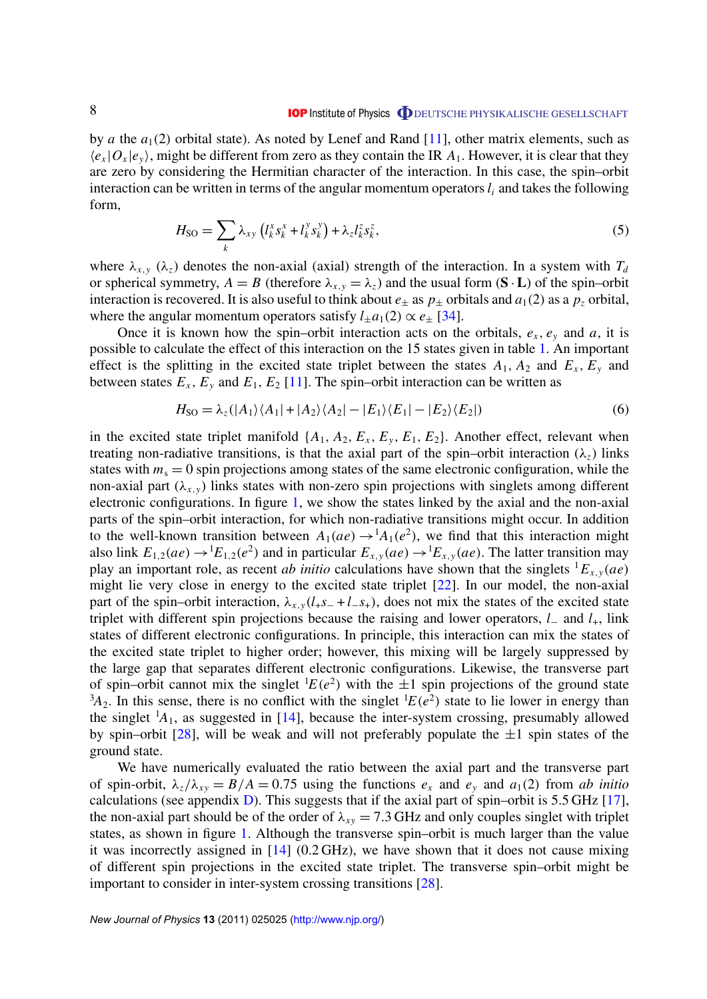<span id="page-8-0"></span>by *a* the  $a_1(2)$  orbital state). As noted by Lenef and Rand [\[11\]](#page-22-0), other matrix elements, such as  $\langle e_x | O_x | e_y \rangle$ , might be different from zero as they contain the IR  $A_1$ . However, it is clear that they are zero by considering the Hermitian character of the interaction. In this case, the spin–orbit interaction can be written in terms of the angular momentum operators*l<sup>i</sup>* and takes the following form,

$$
H_{\rm SO} = \sum_{k} \lambda_{xy} \left( l_k^x s_k^x + l_k^y s_k^y \right) + \lambda_z l_k^z s_k^z, \tag{5}
$$

where  $\lambda_{x,y}$  ( $\lambda_z$ ) denotes the non-axial (axial) strength of the interaction. In a system with  $T_d$ or spherical symmetry,  $A = B$  (therefore  $\lambda_{x,y} = \lambda_z$ ) and the usual form (**S** · **L**) of the spin–orbit interaction is recovered. It is also useful to think about  $e_{\pm}$  as  $p_{\pm}$  orbitals and  $a_1(2)$  as a  $p_z$  orbital, where the angular momentum operators satisfy  $l_{\pm}a_1(2) \propto e_{\pm}$  [\[34\]](#page-23-0).

Once it is known how the spin–orbit interaction acts on the orbitals,  $e_x$ ,  $e_y$  and *a*, it is possible to calculate the effect of this interaction on the 15 states given in table [1.](#page-5-0) An important effect is the splitting in the excited state triplet between the states  $A_1$ ,  $A_2$  and  $E_x$ ,  $E_y$  and between states  $E_x$ ,  $E_y$  and  $E_1$ ,  $E_2$  [\[11\]](#page-22-0). The spin–orbit interaction can be written as

$$
H_{\rm SO} = \lambda_z (|A_1\rangle \langle A_1| + |A_2\rangle \langle A_2| - |E_1\rangle \langle E_1| - |E_2\rangle \langle E_2|)
$$
\n
$$
(6)
$$

in the excited state triplet manifold  $\{A_1, A_2, E_x, E_y, E_1, E_2\}$ . Another effect, relevant when treating non-radiative transitions, is that the axial part of the spin–orbit interaction  $(\lambda_z)$  links states with  $m_s = 0$  spin projections among states of the same electronic configuration, while the non-axial part  $(\lambda_{x,y})$  links states with non-zero spin projections with singlets among different electronic configurations. In figure [1,](#page-9-0) we show the states linked by the axial and the non-axial parts of the spin–orbit interaction, for which non-radiative transitions might occur. In addition to the well-known transition between  $A_1(ae) \rightarrow A_1(e^2)$ , we find that this interaction might also link  $E_{1,2}(ae) \rightarrow {}^{1}E_{1,2}(e^{2})$  and in particular  $E_{x,y}(ae) \rightarrow {}^{1}E_{x,y}(ae)$ . The latter transition may play an important role, as recent *ab initio* calculations have shown that the singlets  ${}^{1}E_{x,y}(ae)$ might lie very close in energy to the excited state triplet [\[22\]](#page-23-0). In our model, the non-axial part of the spin–orbit interaction,  $\lambda_{x,y}$  ( $l_{+}$ *s*<sub>−</sub> +  $l_{-}$ *s*<sub>+</sub>), does not mix the states of the excited state triplet with different spin projections because the raising and lower operators, *l*<sup>−</sup> and *l*+, link states of different electronic configurations. In principle, this interaction can mix the states of the excited state triplet to higher order; however, this mixing will be largely suppressed by the large gap that separates different electronic configurations. Likewise, the transverse part of spin–orbit cannot mix the singlet  ${}^{1}E(e^{2})$  with the  $\pm 1$  spin projections of the ground state  ${}^{3}A_2$ . In this sense, there is no conflict with the singlet  ${}^{1}E(e^2)$  state to lie lower in energy than the singlet  ${}^{1}A_1$ , as suggested in [\[14\]](#page-23-0), because the inter-system crossing, presumably allowed by spin–orbit [\[28\]](#page-23-0), will be weak and will not preferably populate the  $\pm 1$  spin states of the ground state.

We have numerically evaluated the ratio between the axial part and the transverse part of spin-orbit,  $\lambda_z/\lambda_{xy} = B/A = 0.75$  using the functions  $e_x$  and  $e_y$  and  $a_1(2)$  from *ab initio* calculations (see appendix  $\overline{D}$ ). This suggests that if the axial part of spin–orbit is 5.5 GHz [\[17\]](#page-23-0), the non-axial part should be of the order of  $\lambda_{xy} = 7.3 \text{ GHz}$  and only couples singlet with triplet states, as shown in figure [1.](#page-9-0) Although the transverse spin–orbit is much larger than the value it was incorrectly assigned in  $[14]$  (0.2 GHz), we have shown that it does not cause mixing of different spin projections in the excited state triplet. The transverse spin–orbit might be important to consider in inter-system crossing transitions [\[28\]](#page-23-0).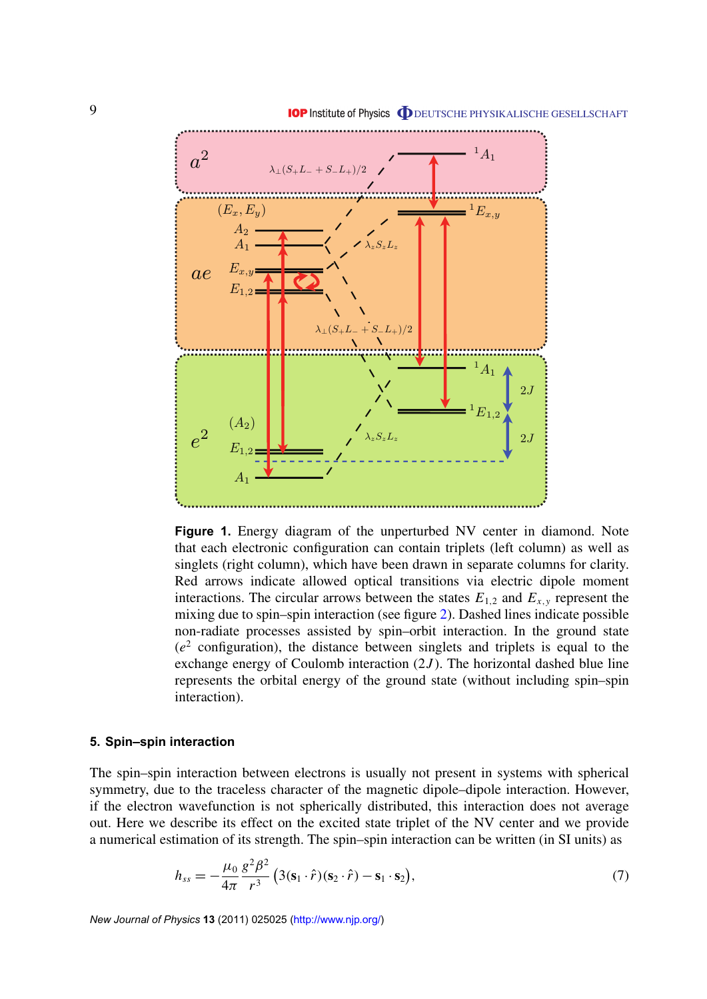<span id="page-9-0"></span>

**Figure 1.** Energy diagram of the unperturbed NV center in diamond. Note that each electronic configuration can contain triplets (left column) as well as singlets (right column), which have been drawn in separate columns for clarity. Red arrows indicate allowed optical transitions via electric dipole moment interactions. The circular arrows between the states  $E_{1,2}$  and  $E_{x,y}$  represent the mixing due to spin–spin interaction (see figure [2\)](#page-11-0). Dashed lines indicate possible non-radiate processes assisted by spin–orbit interaction. In the ground state  $(e<sup>2</sup>$  configuration), the distance between singlets and triplets is equal to the exchange energy of Coulomb interaction (2*J* ). The horizontal dashed blue line represents the orbital energy of the ground state (without including spin–spin interaction).

#### **5. Spin–spin interaction**

The spin–spin interaction between electrons is usually not present in systems with spherical symmetry, due to the traceless character of the magnetic dipole–dipole interaction. However, if the electron wavefunction is not spherically distributed, this interaction does not average out. Here we describe its effect on the excited state triplet of the NV center and we provide a numerical estimation of its strength. The spin–spin interaction can be written (in SI units) as

$$
h_{ss} = -\frac{\mu_0}{4\pi} \frac{g^2 \beta^2}{r^3} \left( 3(\mathbf{s}_1 \cdot \hat{r})(\mathbf{s}_2 \cdot \hat{r}) - \mathbf{s}_1 \cdot \mathbf{s}_2 \right),\tag{7}
$$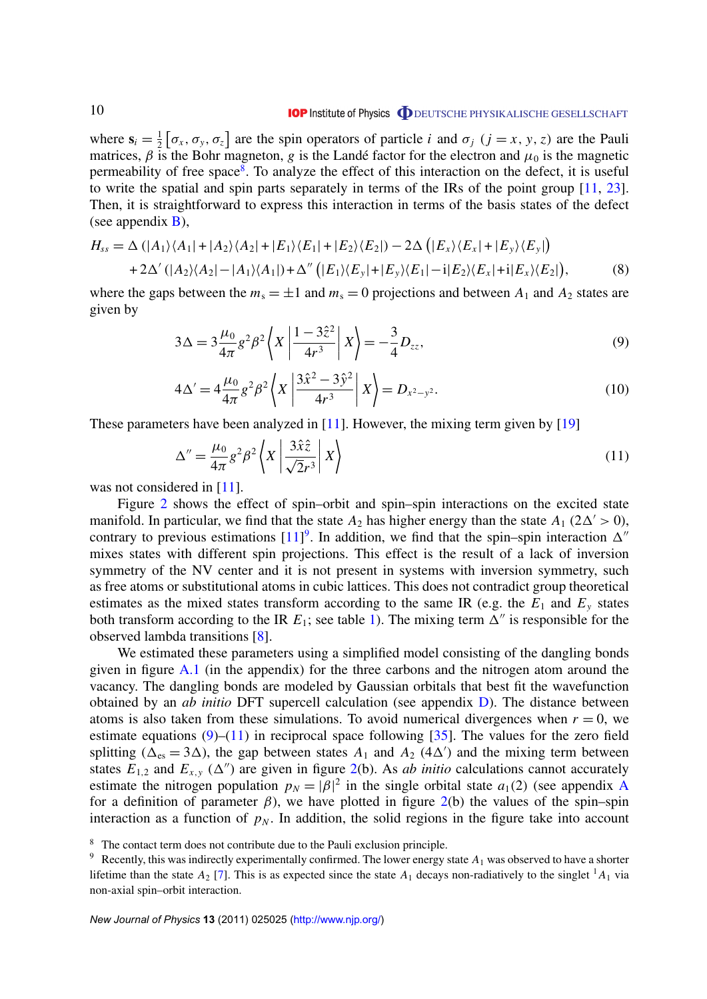## **IOP** Institute of Physics **ODEUTSCHE PHYSIKALISCHE GESELLSCHAFT**

<span id="page-10-0"></span>where  $s_i = \frac{1}{2}$  $\frac{1}{2} [\sigma_x, \sigma_y, \sigma_z]$  are the spin operators of particle *i* and  $\sigma_j$  (*j* = *x*, *y*, *z*) are the Pauli matrices,  $\beta$  is the Bohr magneton, g is the Landé factor for the electron and  $\mu_0$  is the magnetic permeability of free space<sup>8</sup>. To analyze the effect of this interaction on the defect, it is useful to write the spatial and spin parts separately in terms of the IRs of the point group [\[11,](#page-22-0) [23\]](#page-23-0). Then, it is straightforward to express this interaction in terms of the basis states of the defect (see appendix  $\bf{B}$ ),

$$
H_{ss} = \Delta \left( |A_1\rangle \langle A_1| + |A_2\rangle \langle A_2| + |E_1\rangle \langle E_1| + |E_2\rangle \langle E_2| \right) - 2\Delta \left( |E_x\rangle \langle E_x| + |E_y\rangle \langle E_y| \right) + 2\Delta' \left( |A_2\rangle \langle A_2| - |A_1\rangle \langle A_1| \right) + \Delta'' \left( |E_1\rangle \langle E_y| + |E_y\rangle \langle E_1| - i|E_2\rangle \langle E_x| + i|E_x\rangle \langle E_2| \right),
$$
(8)

where the gaps between the  $m_s = \pm 1$  and  $m_s = 0$  projections and between  $A_1$  and  $A_2$  states are given by

$$
3\Delta = 3\frac{\mu_0}{4\pi}g^2\beta^2\left\langle X\left|\frac{1-3\hat{z}^2}{4r^3}\right|X\right\rangle = -\frac{3}{4}D_{zz},\tag{9}
$$

$$
4\Delta' = 4\frac{\mu_0}{4\pi}g^2\beta^2 \left\langle X \left| \frac{3\hat{x}^2 - 3\hat{y}^2}{4r^3} \right| X \right\rangle = D_{x^2 - y^2}.
$$
 (10)

These parameters have been analyzed in [\[11\]](#page-22-0). However, the mixing term given by [\[19\]](#page-23-0)

$$
\Delta'' = \frac{\mu_0}{4\pi} g^2 \beta^2 \left\langle X \left| \frac{3\hat{x}\hat{z}}{\sqrt{2}r^3} \right| X \right\rangle \tag{11}
$$

was not considered in [\[11\]](#page-22-0).

Figure [2](#page-11-0) shows the effect of spin–orbit and spin–spin interactions on the excited state manifold. In particular, we find that the state  $A_2$  has higher energy than the state  $A_1$  ( $2\Delta' > 0$ ), contrary to previous estimations  $[11]^9$  $[11]^9$ . In addition, we find that the spin–spin interaction  $\Delta''$ mixes states with different spin projections. This effect is the result of a lack of inversion symmetry of the NV center and it is not present in systems with inversion symmetry, such as free atoms or substitutional atoms in cubic lattices. This does not contradict group theoretical estimates as the mixed states transform according to the same IR (e.g. the  $E_1$  and  $E_y$  states both transform according to the IR  $E_1$ ; see table [1\)](#page-5-0). The mixing term  $\Delta''$  is responsible for the observed lambda transitions [\[8\]](#page-22-0).

We estimated these parameters using a simplified model consisting of the dangling bonds given in figure [A.1](#page-18-0) (in the appendix) for the three carbons and the nitrogen atom around the vacancy. The dangling bonds are modeled by Gaussian orbitals that best fit the wavefunction obtained by an *ab initio* DFT supercell calculation (see appendix [D\)](#page-21-0). The distance between atoms is also taken from these simulations. To avoid numerical divergences when  $r = 0$ , we estimate equations  $(9)$ – $(11)$  in reciprocal space following [\[35\]](#page-23-0). The values for the zero field splitting ( $\Delta_{es} = 3\Delta$ ), the gap between states  $A_1$  and  $A_2$  ( $4\Delta'$ ) and the mixing term between states  $E_{1,2}$  and  $E_{x,y}$  ( $\Delta''$ ) are given in figure [2\(](#page-11-0)b). As *ab initio* calculations cannot accurately estimate the nitrogen population  $p_N = |\beta|^2$  in the single orbital state  $a_1(2)$  (see appendix [A](#page-17-0) for a definition of parameter  $\beta$ ), we have plotted in figure [2\(](#page-11-0)b) the values of the spin–spin interaction as a function of  $p<sub>N</sub>$ . In addition, the solid regions in the figure take into account

<sup>&</sup>lt;sup>8</sup> The contact term does not contribute due to the Pauli exclusion principle.

<sup>&</sup>lt;sup>9</sup> Recently, this was indirectly experimentally confirmed. The lower energy state  $A_1$  was observed to have a shorter lifetime than the state  $A_2$  [\[7\]](#page-22-0). This is as expected since the state  $A_1$  decays non-radiatively to the singlet  ${}^1A_1$  via non-axial spin–orbit interaction.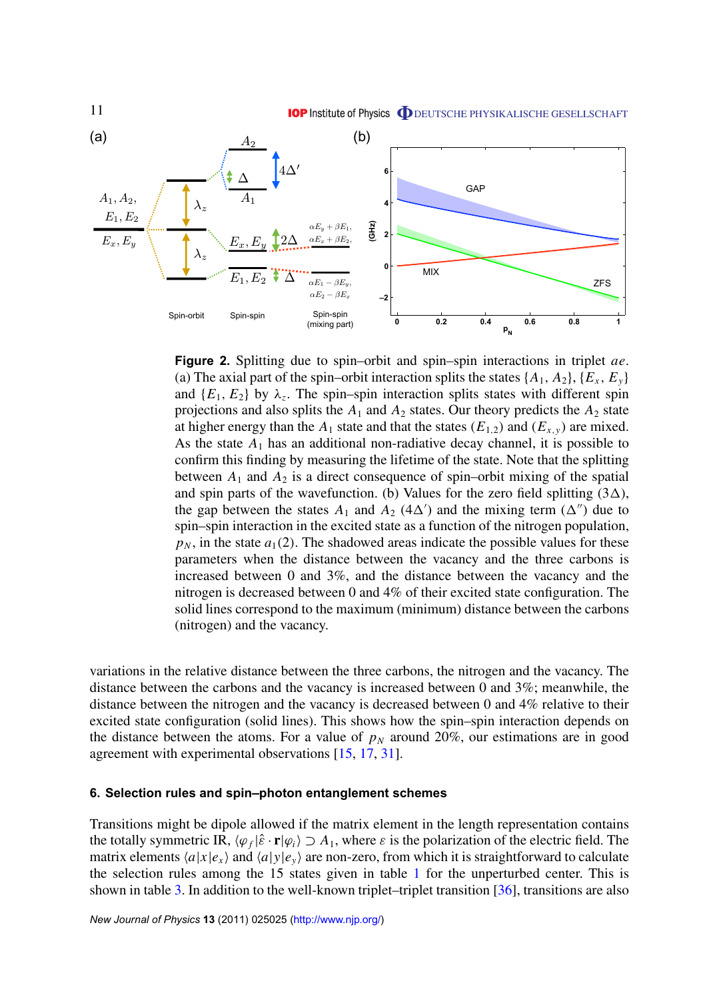**IOP** Institute of Physics **ODEUTSCHE PHYSIKALISCHE GESELLSCHAFT** 

<span id="page-11-0"></span>

**Figure 2.** Splitting due to spin–orbit and spin–spin interactions in triplet *ae*. (a) The axial part of the spin–orbit interaction splits the states  $\{A_1, A_2\}, \{E_x, E_y\}$ and  $\{E_1, E_2\}$  by  $\lambda_z$ . The spin–spin interaction splits states with different spin projections and also splits the  $A_1$  and  $A_2$  states. Our theory predicts the  $A_2$  state at higher energy than the  $A_1$  state and that the states  $(E_{1,2})$  and  $(E_{x,y})$  are mixed. As the state  $A_1$  has an additional non-radiative decay channel, it is possible to confirm this finding by measuring the lifetime of the state. Note that the splitting between  $A_1$  and  $A_2$  is a direct consequence of spin–orbit mixing of the spatial and spin parts of the wavefunction. (b) Values for the zero field splitting  $(3\Delta)$ , the gap between the states  $A_1$  and  $A_2$  (4 $\Delta'$ ) and the mixing term ( $\Delta''$ ) due to spin–spin interaction in the excited state as a function of the nitrogen population,  $p_N$ , in the state  $a_1(2)$ . The shadowed areas indicate the possible values for these parameters when the distance between the vacancy and the three carbons is increased between 0 and 3%, and the distance between the vacancy and the nitrogen is decreased between 0 and 4% of their excited state configuration. The solid lines correspond to the maximum (minimum) distance between the carbons (nitrogen) and the vacancy.

variations in the relative distance between the three carbons, the nitrogen and the vacancy. The distance between the carbons and the vacancy is increased between 0 and 3%; meanwhile, the distance between the nitrogen and the vacancy is decreased between 0 and 4% relative to their excited state configuration (solid lines). This shows how the spin–spin interaction depends on the distance between the atoms. For a value of  $p<sub>N</sub>$  around 20%, our estimations are in good agreement with experimental observations [\[15,](#page-23-0) [17,](#page-23-0) [31\]](#page-23-0).

#### **6. Selection rules and spin–photon entanglement schemes**

Transitions might be dipole allowed if the matrix element in the length representation contains the totally symmetric IR,  $\langle \varphi_f | \hat{\varepsilon} \cdot \mathbf{r} | \varphi_i \rangle \supset A_1$ , where  $\varepsilon$  is the polarization of the electric field. The matrix elements  $\langle a|x|e_x \rangle$  and  $\langle a|y|e_y \rangle$  are non-zero, from which it is straightforward to calculate the selection rules among the 15 states given in table [1](#page-5-0) for the unperturbed center. This is shown in table [3.](#page-12-0) In addition to the well-known triplet–triplet transition [\[36\]](#page-23-0), transitions are also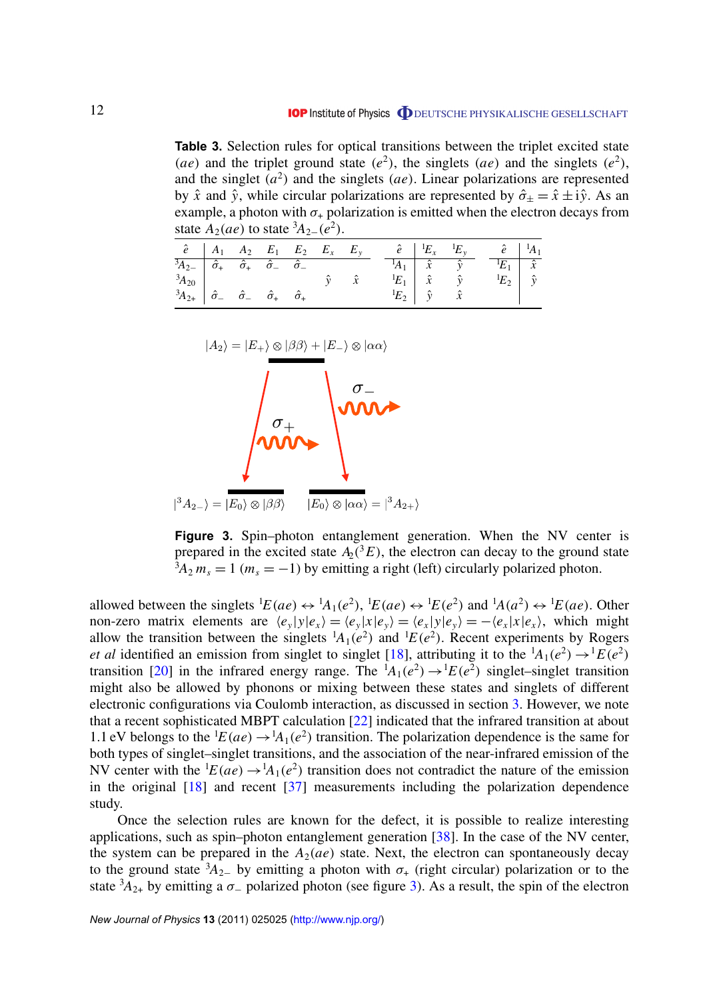<span id="page-12-0"></span>**Table 3.** Selection rules for optical transitions between the triplet excited state (*ae*) and the triplet ground state  $(e^2)$ , the singlets (*ae*) and the singlets  $(e^2)$ , and the singlet  $(a^2)$  and the singlets  $(ae)$ . Linear polarizations are represented by  $\hat{x}$  and  $\hat{y}$ , while circular polarizations are represented by  $\hat{\sigma}_\pm = \hat{x} \pm i\hat{y}$ . As an example, a photon with  $\sigma_{+}$  polarization is emitted when the electron decays from state  $A_2(ae)$  to state  ${}^3A_{2-}(e^2)$ .

| $\hat{e}$   $A_1$ $A_2$ $E_1$ $E_2$ $E_x$ $E_y$                                                                                                                                                                                                    |  |  |  |  |  | $\hat{e}$ $E_x$ $E_y$ $\hat{e}$ $A_1$ |  |
|----------------------------------------------------------------------------------------------------------------------------------------------------------------------------------------------------------------------------------------------------|--|--|--|--|--|---------------------------------------|--|
|                                                                                                                                                                                                                                                    |  |  |  |  |  |                                       |  |
|                                                                                                                                                                                                                                                    |  |  |  |  |  |                                       |  |
| $\begin{array}{c ccccc}\n\bar{3} & & & \hat{\sigma}_+ & \hat{\sigma}_+ & \hat{\sigma}_- & \hat{\sigma}_- \\ 3 & & & \hat{3} & & \hat{3} & & \hat{3} \\ 3 & & & & \hat{\sigma}_- & \hat{\sigma}_- & \hat{\sigma}_+ & \hat{\sigma}_+ \\ \end{array}$ |  |  |  |  |  |                                       |  |



**Figure 3.** Spin–photon entanglement generation. When the NV center is prepared in the excited state  $A_2(^3E)$ , the electron can decay to the ground state  $3A_2 m_s = 1$  ( $m_s = -1$ ) by emitting a right (left) circularly polarized photon.

allowed between the singlets  ${}^1E(ae) \leftrightarrow {}^1A_1(e^2)$ ,  ${}^1E(ae) \leftrightarrow {}^1E(e^2)$  and  ${}^1A(a^2) \leftrightarrow {}^1E(ae)$ . Other non-zero matrix elements are  $\langle e_y | y | e_x \rangle = \langle e_y | x | e_y \rangle = \langle e_x | y | e_y \rangle = -\langle e_x | x | e_x \rangle$ , which might allow the transition between the singlets  ${}^{1}A_{1}(e^{2})$  and  ${}^{1}E(e^{2})$ . Recent experiments by Rogers *et al* identified an emission from singlet to singlet [\[18\]](#page-23-0), attributing it to the  ${}^{1}A_{1}(e^{2}) \rightarrow {}^{1}E(e^{2})$ transition [\[20\]](#page-23-0) in the infrared energy range. The  ${}^{1}A_{1}(e^{2}) \rightarrow {}^{1}E(e^{2})$  singlet–singlet transition might also be allowed by phonons or mixing between these states and singlets of different electronic configurations via Coulomb interaction, as discussed in section [3.](#page-6-0) However, we note that a recent sophisticated MBPT calculation [\[22\]](#page-23-0) indicated that the infrared transition at about 1.1 eV belongs to the  ${}^1E(ae) \rightarrow {}^1A_1(e^2)$  transition. The polarization dependence is the same for both types of singlet–singlet transitions, and the association of the near-infrared emission of the NV center with the  ${}^{1}E(ae) \rightarrow {}^{1}A_{1}(e^{2})$  transition does not contradict the nature of the emission in the original  $[18]$  and recent  $[37]$  measurements including the polarization dependence study.

Once the selection rules are known for the defect, it is possible to realize interesting applications, such as spin–photon entanglement generation [\[38\]](#page-23-0). In the case of the NV center, the system can be prepared in the  $A_2(ae)$  state. Next, the electron can spontaneously decay to the ground state  ${}^{3}A_{2-}$  by emitting a photon with  $\sigma_{+}$  (right circular) polarization or to the state  ${}^{3}A_{2+}$  by emitting a  $\sigma_{-}$  polarized photon (see figure 3). As a result, the spin of the electron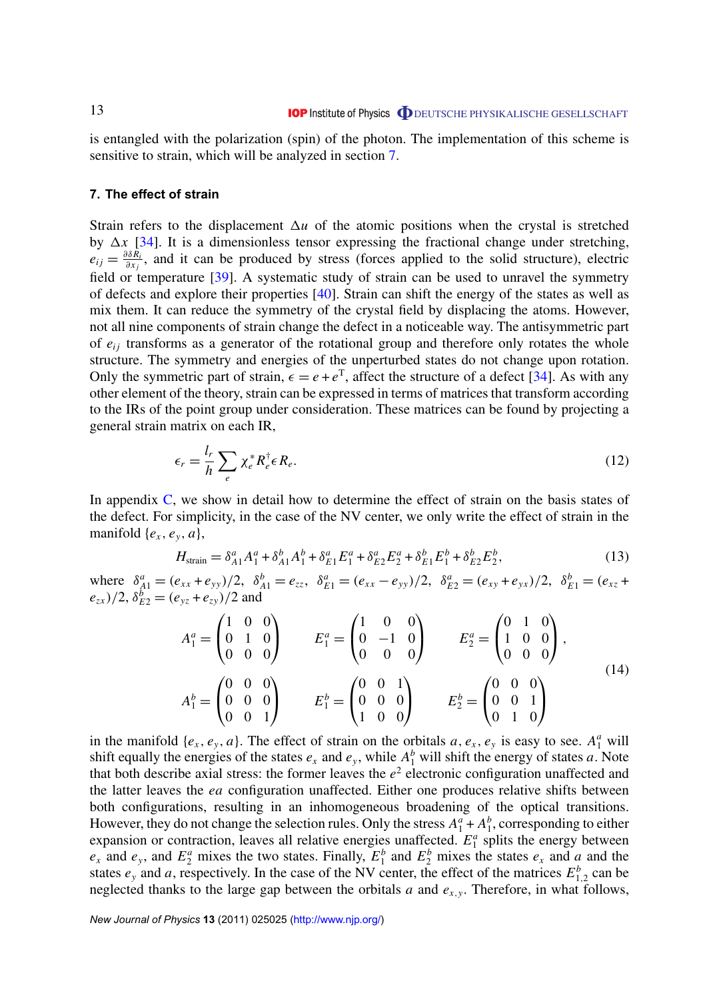<span id="page-13-0"></span>is entangled with the polarization (spin) of the photon. The implementation of this scheme is sensitive to strain, which will be analyzed in section 7.

#### **7. The effect of strain**

Strain refers to the displacement  $\Delta u$  of the atomic positions when the crystal is stretched by  $\Delta x$  [\[34\]](#page-23-0). It is a dimensionless tensor expressing the fractional change under stretching,  $e_{ij} = \frac{\partial \delta R_i}{\partial x_i}$  $\frac{\partial^{\delta} R_i}{\partial x_j}$ , and it can be produced by stress (forces applied to the solid structure), electric field or temperature [\[39\]](#page-24-0). A systematic study of strain can be used to unravel the symmetry of defects and explore their properties [\[40\]](#page-24-0). Strain can shift the energy of the states as well as mix them. It can reduce the symmetry of the crystal field by displacing the atoms. However, not all nine components of strain change the defect in a noticeable way. The antisymmetric part of  $e_{ij}$  transforms as a generator of the rotational group and therefore only rotates the whole structure. The symmetry and energies of the unperturbed states do not change upon rotation. Only the symmetric part of strain,  $\epsilon = e + e^T$ , affect the structure of a defect [\[34\]](#page-23-0). As with any other element of the theory, strain can be expressed in terms of matrices that transform according to the IRs of the point group under consideration. These matrices can be found by projecting a general strain matrix on each IR,

$$
\epsilon_r = \frac{l_r}{h} \sum_e \chi_e^* R_e^\dagger \epsilon R_e. \tag{12}
$$

In appendix  $C$ , we show in detail how to determine the effect of strain on the basis states of the defect. For simplicity, in the case of the NV center, we only write the effect of strain in the manifold  $\{e_x, e_y, a\}$ ,

$$
H_{\text{strain}} = \delta_{A1}^a A_1^a + \delta_{A1}^b A_1^b + \delta_{E1}^a E_1^a + \delta_{E2}^a E_2^a + \delta_{E1}^b E_1^b + \delta_{E2}^b E_2^b, \tag{13}
$$

where  $\delta_{A1}^a = (e_{xx} + e_{yy})/2$ ,  $\delta_{A1}^b = e_{zz}$ ,  $\delta_{E1}^a = (e_{xx} - e_{yy})/2$ ,  $\delta_{E2}^a = (e_{xy} + e_{yx})/2$ ,  $\delta_{E1}^b = (e_{xz} + e_{yz})/2$  $(e_{zx})/2$ ,  $\delta_{E2}^{b} = (e_{yz} + e_{zy})/2$  and

$$
A_1^a = \begin{pmatrix} 1 & 0 & 0 \\ 0 & 1 & 0 \\ 0 & 0 & 0 \end{pmatrix} \qquad E_1^a = \begin{pmatrix} 1 & 0 & 0 \\ 0 & -1 & 0 \\ 0 & 0 & 0 \end{pmatrix} \qquad E_2^a = \begin{pmatrix} 0 & 1 & 0 \\ 1 & 0 & 0 \\ 0 & 0 & 0 \end{pmatrix},
$$
  

$$
A_1^b = \begin{pmatrix} 0 & 0 & 0 \\ 0 & 0 & 0 \\ 0 & 0 & 1 \end{pmatrix} \qquad E_1^b = \begin{pmatrix} 0 & 0 & 1 \\ 0 & 0 & 0 \\ 1 & 0 & 0 \end{pmatrix} \qquad E_2^b = \begin{pmatrix} 0 & 0 & 0 \\ 0 & 0 & 1 \\ 0 & 1 & 0 \end{pmatrix}
$$
 (14)

in the manifold  $\{e_x, e_y, a\}$ . The effect of strain on the orbitals *a*,  $e_x, e_y$  is easy to see.  $A_1^a$  will shift equally the energies of the states  $e_x$  and  $e_y$ , while  $A_1^b$  will shift the energy of states *a*. Note that both describe axial stress: the former leaves the *e* 2 electronic configuration unaffected and the latter leaves the *ea* configuration unaffected. Either one produces relative shifts between both configurations, resulting in an inhomogeneous broadening of the optical transitions. However, they do not change the selection rules. Only the stress  $A_1^a + A_1^b$ , corresponding to either expansion or contraction, leaves all relative energies unaffected.  $E_1^a$  splits the energy between  $e_x$  and  $e_y$ , and  $E_2^a$  mixes the two states. Finally,  $E_1^b$  and  $E_2^b$  mixes the states  $e_x$  and *a* and the states  $e_y$  and *a*, respectively. In the case of the NV center, the effect of the matrices  $E_{1,2}^b$  can be neglected thanks to the large gap between the orbitals *a* and *e<sup>x</sup>*,*<sup>y</sup>* . Therefore, in what follows,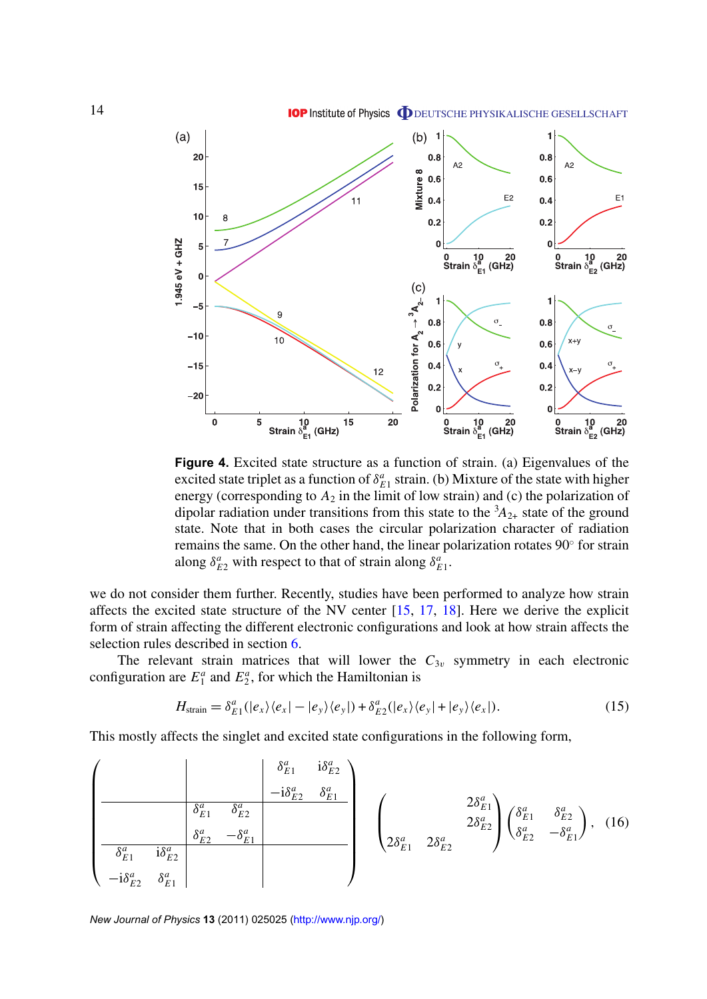<span id="page-14-0"></span>

**Figure 4.** Excited state structure as a function of strain. (a) Eigenvalues of the excited state triplet as a function of  $\delta_{E_1}^a$  strain. (b) Mixture of the state with higher energy (corresponding to  $A_2$  in the limit of low strain) and (c) the polarization of dipolar radiation under transitions from this state to the  ${}^{3}A_{2+}$  state of the ground state. Note that in both cases the circular polarization character of radiation remains the same. On the other hand, the linear polarization rotates 90◦ for strain along  $\delta_{E2}^a$  with respect to that of strain along  $\delta_{E1}^a$ .

we do not consider them further. Recently, studies have been performed to analyze how strain affects the excited state structure of the NV center [\[15,](#page-23-0) [17,](#page-23-0) [18\]](#page-23-0). Here we derive the explicit form of strain affecting the different electronic configurations and look at how strain affects the selection rules described in section [6.](#page-11-0)

The relevant strain matrices that will lower the  $C_{3v}$  symmetry in each electronic configuration are  $E_1^a$  and  $E_2^a$ , for which the Hamiltonian is

$$
H_{\text{strain}} = \delta_{E1}^a(|e_x\rangle\langle e_x| - |e_y\rangle\langle e_y|) + \delta_{E2}^a(|e_x\rangle\langle e_y| + |e_y\rangle\langle e_x|). \tag{15}
$$

This mostly affects the singlet and excited state configurations in the following form,

$$
\left(\begin{array}{c|c}\n&\delta_{E1}^{a} & i\delta_{E2}^{a} \\
-i\delta_{E2}^{a} & \delta_{E1}^{a} \\
\hline\n\delta_{E1}^{a} & i\delta_{E2}^{a} \\
-i\delta_{E2}^{a} & \delta_{E1}^{a}\n\end{array}\right)\n\left(\begin{array}{c|c}\n2\delta_{E1}^{a} \\
2\delta_{E2}^{a} \\
2\delta_{E2}^{a}\n\end{array}\right)\n\left(\begin{array}{c|c}\n2\delta_{E1}^{a} & \delta_{E2}^{a} \\
2\delta_{E2}^{a} & 2\delta_{E2}^{a} \\
\delta_{E2}^{a} & -\delta_{E1}^{a}\n\end{array}\right), (16)
$$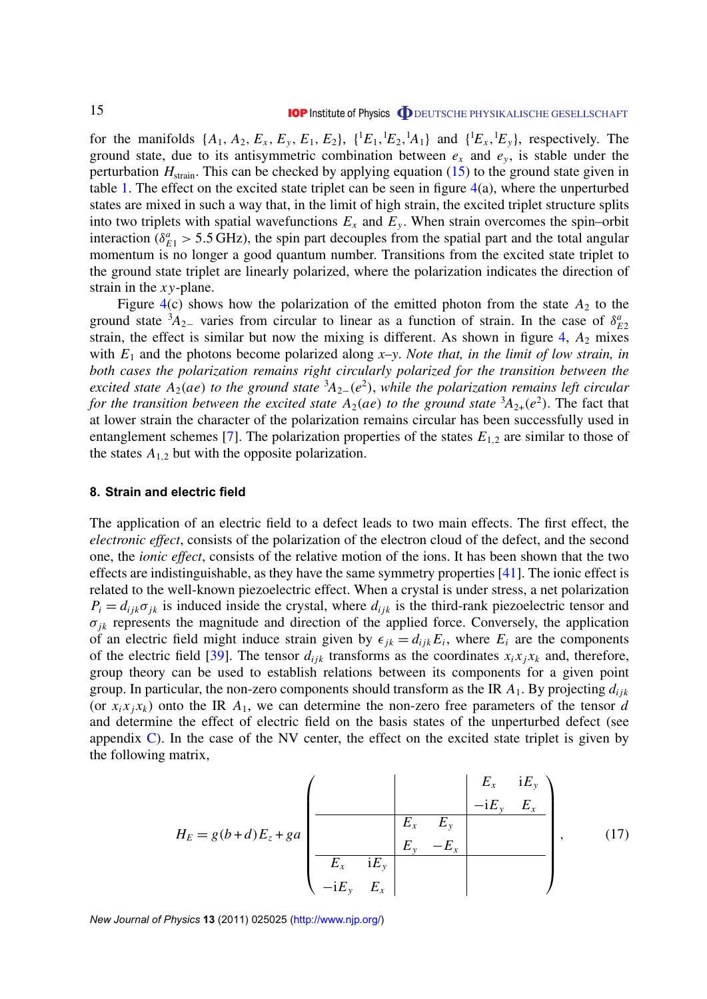<span id="page-15-0"></span>for the manifolds  $\{A_1, A_2, E_x, E_y, E_1, E_2\}$ ,  $\{^1E_1, ^1E_2, ^1A_1\}$  and  $\{^1E_x, ^1E_y\}$ , respectively. The ground state, due to its antisymmetric combination between  $e_x$  and  $e_y$ , is stable under the perturbation  $H_{\text{strain}}$ . This can be checked by applying equation  $(15)$  to the ground state given in table [1.](#page-5-0) The effect on the excited state triplet can be seen in figure  $4(a)$  $4(a)$ , where the unperturbed states are mixed in such a way that, in the limit of high strain, the excited triplet structure splits into two triplets with spatial wavefunctions  $E_x$  and  $E_y$ . When strain overcomes the spin–orbit interaction ( $\delta_{E1}^a > 5.5$  GHz), the spin part decouples from the spatial part and the total angular momentum is no longer a good quantum number. Transitions from the excited state triplet to the ground state triplet are linearly polarized, where the polarization indicates the direction of strain in the *x y*-plane.

Figure  $4(c)$  $4(c)$  shows how the polarization of the emitted photon from the state  $A_2$  to the ground state  ${}^{3}A_{2-}$  varies from circular to linear as a function of strain. In the case of  $\delta_{E2}^a$ strain, the effect is similar but now the mixing is different. As shown in figure  $4$ ,  $A_2$  mixes with *E*<sup>1</sup> and the photons become polarized along *x*–*y*. *Note that, in the limit of low strain, in both cases the polarization remains right circularly polarized for the transition between the excited state A*2(*ae*) *to the ground state* <sup>3</sup>*A*2<sup>−</sup>(*e* 2 ), *while the polarization remains left circular for the transition between the excited state*  $A_2(ae)$  *to the ground state*  ${}^3A_{2+}(e^2)$ . The fact that at lower strain the character of the polarization remains circular has been successfully used in entanglement schemes [\[7\]](#page-22-0). The polarization properties of the states  $E_{1,2}$  are similar to those of the states  $A_{1,2}$  but with the opposite polarization.

#### **8. Strain and electric field**

The application of an electric field to a defect leads to two main effects. The first effect, the *electronic effect*, consists of the polarization of the electron cloud of the defect, and the second one, the *ionic effect*, consists of the relative motion of the ions. It has been shown that the two effects are indistinguishable, as they have the same symmetry properties [\[41\]](#page-24-0). The ionic effect is related to the well-known piezoelectric effect. When a crystal is under stress, a net polarization  $P_i = d_{ijk}\sigma_{jk}$  is induced inside the crystal, where  $d_{ijk}$  is the third-rank piezoelectric tensor and  $\sigma_{jk}$  represents the magnitude and direction of the applied force. Conversely, the application of an electric field might induce strain given by  $\epsilon_{jk} = d_{ijk} E_i$ , where  $E_i$  are the components of the electric field [\[39\]](#page-24-0). The tensor  $d_{ijk}$  transforms as the coordinates  $x_i x_j x_k$  and, therefore, group theory can be used to establish relations between its components for a given point group. In particular, the non-zero components should transform as the IR *A*1. By projecting *di jk* (or  $x_i x_j x_k$ ) onto the IR  $A_1$ , we can determine the non-zero free parameters of the tensor *d* and determine the effect of electric field on the basis states of the unperturbed defect (see appendix  $C$ ). In the case of the NV center, the effect on the excited state triplet is given by the following matrix,

$$
H_E = g(b+d)E_z + ga \begin{pmatrix} E_x & iE_y \\ -iE_y & E_x \\ E_y & -E_x \\ E_x & iE_y \\ -iE_y & E_x \end{pmatrix}, \qquad (17)
$$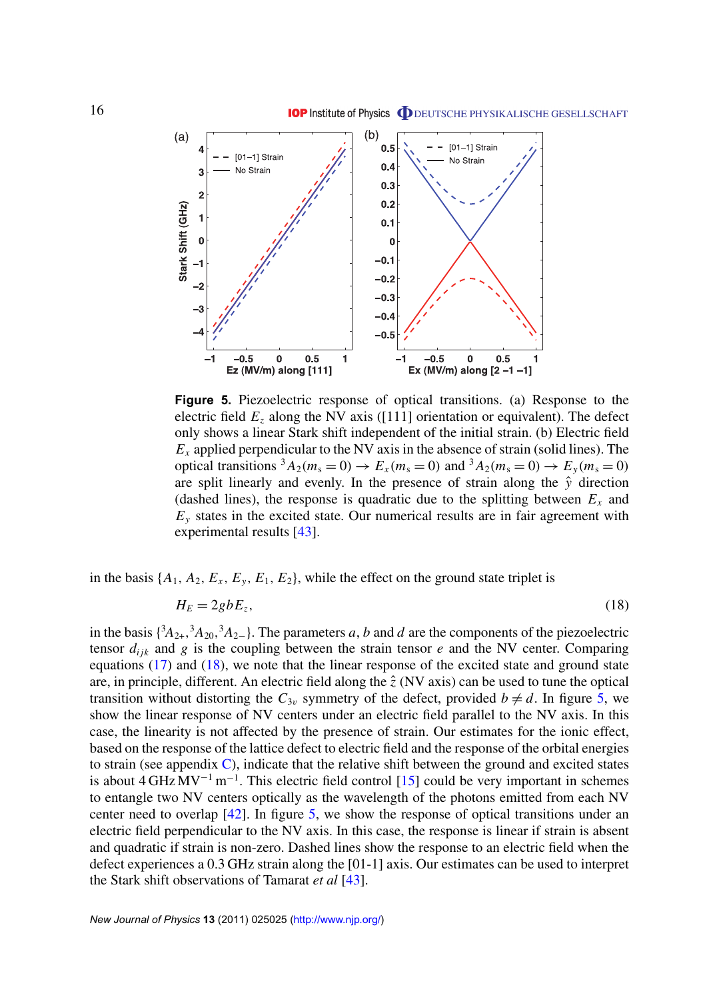

**Figure 5.** Piezoelectric response of optical transitions. (a) Response to the electric field  $E_z$  along the NV axis ([111] orientation or equivalent). The defect only shows a linear Stark shift independent of the initial strain. (b) Electric field  $E<sub>x</sub>$  applied perpendicular to the NV axis in the absence of strain (solid lines). The optical transitions  ${}^3A_2(m_s = 0) \rightarrow E_x(m_s = 0)$  and  ${}^3A_2(m_s = 0) \rightarrow E_y(m_s = 0)$ are split linearly and evenly. In the presence of strain along the  $\hat{y}$  direction (dashed lines), the response is quadratic due to the splitting between  $E_x$  and  $E<sub>y</sub>$  states in the excited state. Our numerical results are in fair agreement with experimental results [\[43\]](#page-24-0).

in the basis  $\{A_1, A_2, E_x, E_y, E_1, E_2\}$ , while the effect on the ground state triplet is

$$
H_E = 2gbE_z,\tag{18}
$$

in the basis  $\{ {}^3A_{2+}, {}^3A_{20}, {}^3A_{2-}\}$ . The parameters *a*, *b* and *d* are the components of the piezoelectric tensor  $d_{ijk}$  and  $g$  is the coupling between the strain tensor  $e$  and the NV center. Comparing equations [\(17\)](#page-15-0) and (18), we note that the linear response of the excited state and ground state are, in principle, different. An electric field along the  $\hat{z}$  (NV axis) can be used to tune the optical transition without distorting the  $C_{3v}$  symmetry of the defect, provided  $b \neq d$ . In figure 5, we show the linear response of NV centers under an electric field parallel to the NV axis. In this case, the linearity is not affected by the presence of strain. Our estimates for the ionic effect, based on the response of the lattice defect to electric field and the response of the orbital energies to strain (see appendix [C\)](#page-20-0), indicate that the relative shift between the ground and excited states is about  $4 \text{ GHz} \text{MV}^{-1} \text{ m}^{-1}$ . This electric field control [\[15\]](#page-23-0) could be very important in schemes to entangle two NV centers optically as the wavelength of the photons emitted from each NV center need to overlap [\[42\]](#page-24-0). In figure 5, we show the response of optical transitions under an electric field perpendicular to the NV axis. In this case, the response is linear if strain is absent and quadratic if strain is non-zero. Dashed lines show the response to an electric field when the defect experiences a 0.3 GHz strain along the [01-1] axis. Our estimates can be used to interpret the Stark shift observations of Tamarat *et al* [\[43\]](#page-24-0).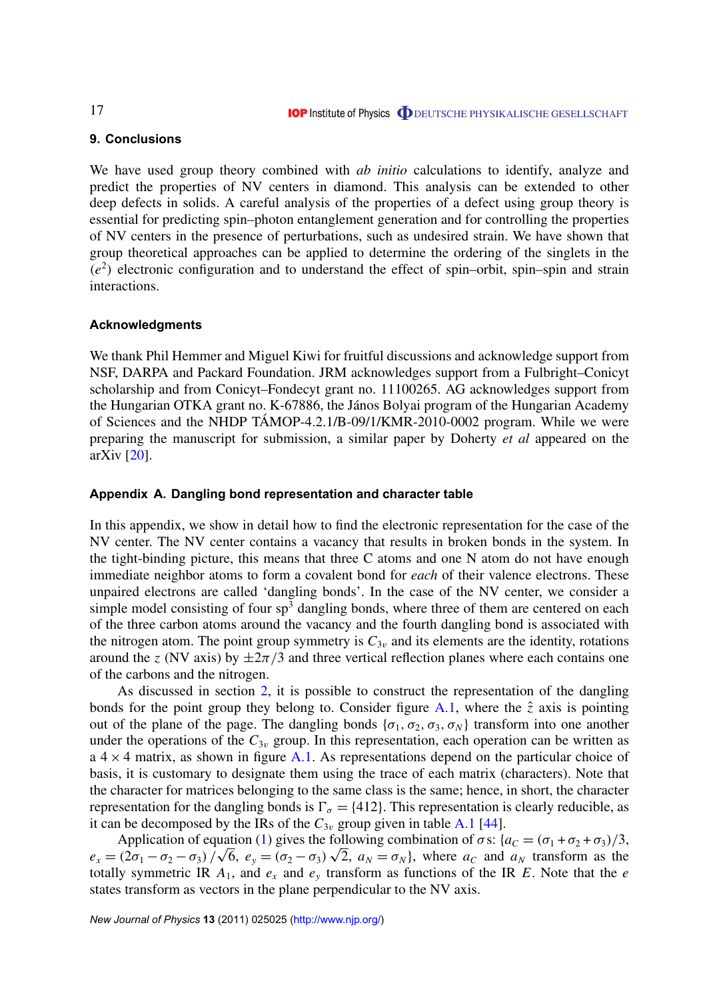# <span id="page-17-0"></span>**9. Conclusions**

We have used group theory combined with *ab initio* calculations to identify, analyze and predict the properties of NV centers in diamond. This analysis can be extended to other deep defects in solids. A careful analysis of the properties of a defect using group theory is essential for predicting spin–photon entanglement generation and for controlling the properties of NV centers in the presence of perturbations, such as undesired strain. We have shown that group theoretical approaches can be applied to determine the ordering of the singlets in the (*e* 2 ) electronic configuration and to understand the effect of spin–orbit, spin–spin and strain interactions.

# **Acknowledgments**

We thank Phil Hemmer and Miguel Kiwi for fruitful discussions and acknowledge support from NSF, DARPA and Packard Foundation. JRM acknowledges support from a Fulbright–Conicyt scholarship and from Conicyt–Fondecyt grant no. 11100265. AG acknowledges support from the Hungarian OTKA grant no. K-67886, the János Bolyai program of the Hungarian Academy of Sciences and the NHDP TÁMOP-4.2.1/B-09/1/KMR-2010-0002 program. While we were preparing the manuscript for submission, a similar paper by Doherty *et al* appeared on the arXiv [\[20\]](#page-23-0).

# **Appendix A. Dangling bond representation and character table**

In this appendix, we show in detail how to find the electronic representation for the case of the NV center. The NV center contains a vacancy that results in broken bonds in the system. In the tight-binding picture, this means that three C atoms and one N atom do not have enough immediate neighbor atoms to form a covalent bond for *each* of their valence electrons. These unpaired electrons are called 'dangling bonds'. In the case of the NV center, we consider a simple model consisting of four  $sp<sup>3</sup>$  dangling bonds, where three of them are centered on each of the three carbon atoms around the vacancy and the fourth dangling bond is associated with the nitrogen atom. The point group symmetry is  $C_{3v}$  and its elements are the identity, rotations around the *z* (NV axis) by  $\pm 2\pi/3$  and three vertical reflection planes where each contains one of the carbons and the nitrogen.

As discussed in section [2,](#page-3-0) it is possible to construct the representation of the dangling bonds for the point group they belong to. Consider figure [A.1,](#page-18-0) where the  $\hat{z}$  axis is pointing out of the plane of the page. The dangling bonds  $\{\sigma_1, \sigma_2, \sigma_3, \sigma_N\}$  transform into one another under the operations of the  $C_{3v}$  group. In this representation, each operation can be written as a  $4 \times 4$  matrix, as shown in figure [A.1.](#page-18-0) As representations depend on the particular choice of basis, it is customary to designate them using the trace of each matrix (characters). Note that the character for matrices belonging to the same class is the same; hence, in short, the character representation for the dangling bonds is  $\Gamma_{\sigma} = \{412\}$ . This representation is clearly reducible, as it can be decomposed by the IRs of the  $C_{3v}$  group given in table [A.1](#page-18-0) [\[44\]](#page-24-0).

Application of equation [\(1\)](#page-4-0) gives the following combination of  $\sigma s$ : { $a_C = (\sigma_1 + \sigma_2 + \sigma_3)/3$ ,  $e_x = (2\sigma_1 - \sigma_2 - \sigma_3)/\sqrt{6}$ ,  $e_y = (\sigma_2 - \sigma_3)/\sqrt{2}$ ,  $a_N = \sigma_N$ , where  $a_C$  and  $a_N$  transform as the totally symmetric IR  $A_1$ , and  $e_x$  and  $e_y$  transform as functions of the IR E. Note that the *e* states transform as vectors in the plane perpendicular to the NV axis.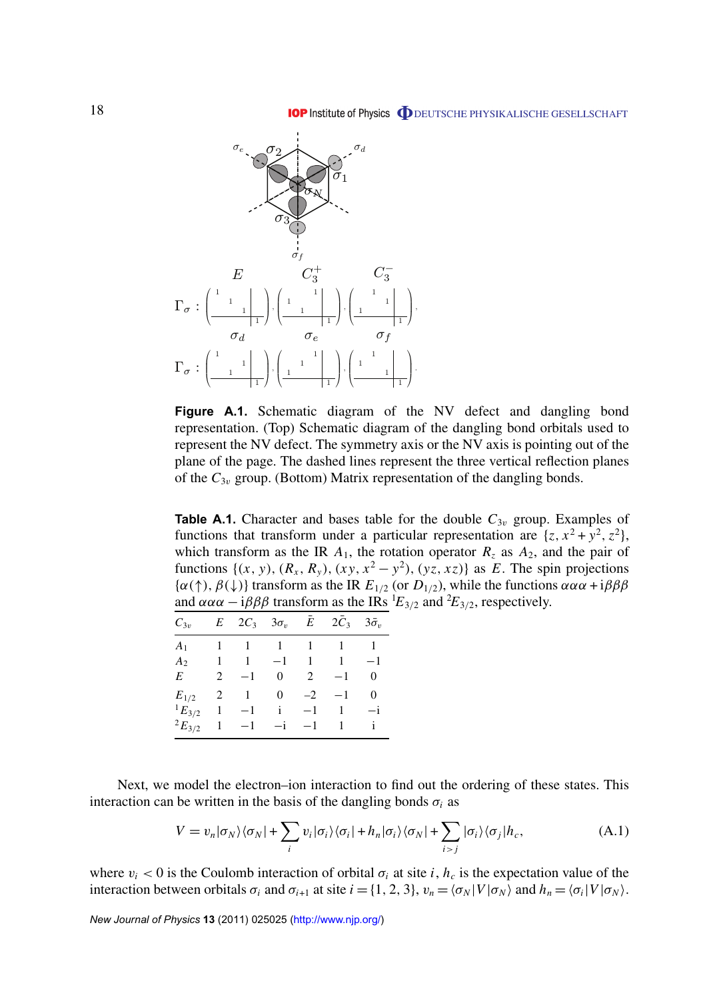<span id="page-18-0"></span>

**Figure A.1.** Schematic diagram of the NV defect and dangling bond representation. (Top) Schematic diagram of the dangling bond orbitals used to represent the NV defect. The symmetry axis or the NV axis is pointing out of the plane of the page. The dashed lines represent the three vertical reflection planes of the *C*3<sup>v</sup> group. (Bottom) Matrix representation of the dangling bonds.

**Table A.1.** Character and bases table for the double  $C_{3v}$  group. Examples of functions that transform under a particular representation are  $\{z, x^2 + y^2, z^2\}$ , which transform as the IR  $A_1$ , the rotation operator  $R_z$  as  $A_2$ , and the pair of functions  $\{(x, y), (R_x, R_y), (xy, x^2 - y^2), (yz, xz)\}\$ as *E*. The spin projections  ${\alpha(\uparrow), \beta(\downarrow)}$  transform as the IR  $E_{1/2}$  (or  $D_{1/2}$ ), while the functions  $\alpha\alpha\alpha + i\beta\beta\beta$ and  $\alpha \alpha \alpha - i \beta \beta \beta$  transform as the IRs <sup>1</sup>*E*<sub>3/2</sub> and <sup>2</sup>*E*<sub>3/2</sub>, respectively.

| $C_{3v}$       | E | $2C_3$ | $3\sigma_v$ | $\boldsymbol{E}$ | $2\bar{C}_3$ | $3\bar{\sigma}_v$ |
|----------------|---|--------|-------------|------------------|--------------|-------------------|
| A <sub>1</sub> |   |        |             |                  |              |                   |
| A <sub>2</sub> |   |        | $-1$        | 1                | 1            | -1                |
| E              | 2 | $-1$   | 0           | 2                | $^{-1}$      | 0                 |
| $E_{1/2}$      | 2 |        | 0           | $-2$             | $-1$         | 0                 |
| $^{1}E_{3/2}$  |   | $-1$   | i           | $-1$             |              | $-i$              |
| $^{2}E_{3/2}$  |   | $-1$   | $-i$        | $-1$             |              | Ť                 |

Next, we model the electron–ion interaction to find out the ordering of these states. This interaction can be written in the basis of the dangling bonds  $\sigma_i$  as

$$
V = v_n |\sigma_N\rangle \langle \sigma_N| + \sum_i v_i |\sigma_i\rangle \langle \sigma_i| + h_n |\sigma_i\rangle \langle \sigma_N| + \sum_{i > j} |\sigma_i\rangle \langle \sigma_j| h_c,\tag{A.1}
$$

where  $v_i < 0$  is the Coulomb interaction of orbital  $\sigma_i$  at site *i*,  $h_c$  is the expectation value of the interaction between orbitals  $\sigma_i$  and  $\sigma_{i+1}$  at site  $i = \{1, 2, 3\}$ ,  $v_n = \langle \sigma_N | V | \sigma_N \rangle$  and  $h_n = \langle \sigma_i | V | \sigma_N \rangle$ .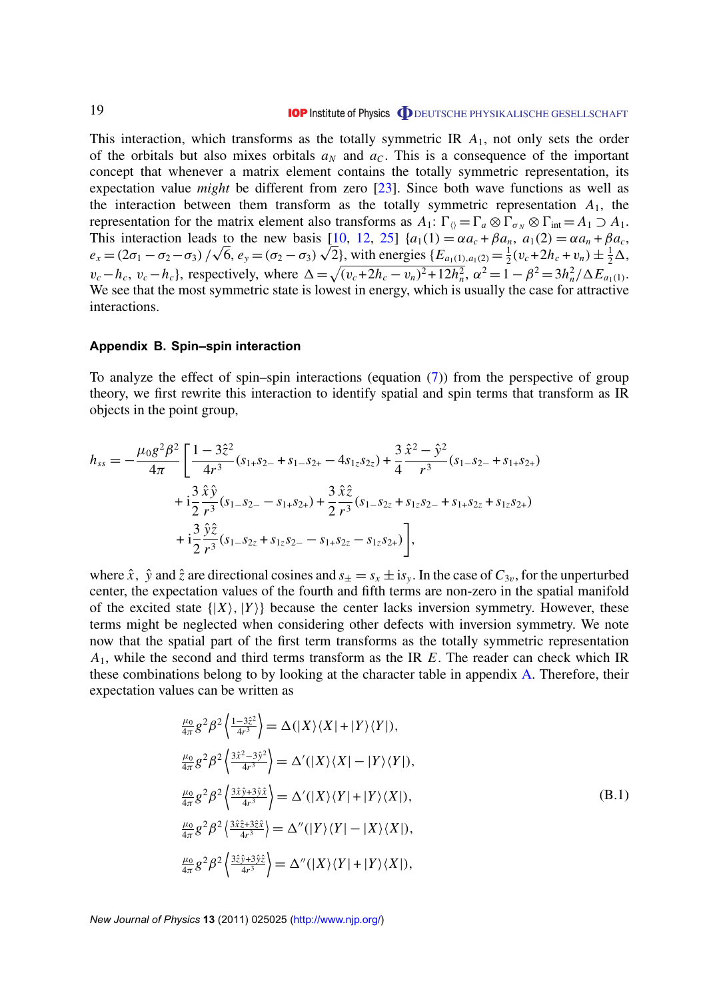<span id="page-19-0"></span>This interaction, which transforms as the totally symmetric IR *A*1, not only sets the order of the orbitals but also mixes orbitals  $a_N$  and  $a_C$ . This is a consequence of the important concept that whenever a matrix element contains the totally symmetric representation, its expectation value *might* be different from zero [\[23\]](#page-23-0). Since both wave functions as well as the interaction between them transform as the totally symmetric representation  $A_1$ , the representation for the matrix element also transforms as  $A_1: \Gamma_{\langle} = \Gamma_a \otimes \Gamma_{\sigma_N} \otimes \Gamma_{int} = A_1 \supset A_1$ . This interaction leads to the new basis  $[10, 12, 25]$  $[10, 12, 25]$  $[10, 12, 25]$  $[10, 12, 25]$  $[10, 12, 25]$   $\{a_1(1) = \alpha a_c + \beta a_n, a_1(2) = \alpha a_n + \beta a_c, a_2(3) = \alpha a_n + \beta a_n\}$  $e_x = (2\sigma_1 - \sigma_2 - \sigma_3) / \sqrt{6}$ ,  $e_y = (\sigma_2 - \sigma_3) \sqrt{2}$ , with energies  $\{E_{a_1(1), a_1(2)} = \frac{1}{2}\}$  $\frac{1}{2}(v_c + 2h_c + v_n) \pm \frac{1}{2}\Delta,$  $v_c - h_c$ ,  $v_c - h_c$ , respectively, where  $\Delta = \sqrt{(v_c + 2h_c - v_n)^2 + 12h_n^2}$ ,  $\alpha^2 = 1 - \beta^2 = 3h_n^2/\Delta E_{a_1(1)}$ . We see that the most symmetric state is lowest in energy, which is usually the case for attractive interactions.

#### **Appendix B. Spin–spin interaction**

To analyze the effect of spin–spin interactions (equation  $(7)$ ) from the perspective of group theory, we first rewrite this interaction to identify spatial and spin terms that transform as IR objects in the point group,

$$
h_{ss} = -\frac{\mu_0 g^2 \beta^2}{4\pi} \left[ \frac{1 - 3\hat{z}^2}{4r^3} (s_{1+} s_{2-} + s_{1-} s_{2+} - 4s_{1z} s_{2z}) + \frac{3}{4} \frac{\hat{x}^2 - \hat{y}^2}{r^3} (s_{1-} s_{2-} + s_{1+} s_{2+}) + i \frac{3}{2} \frac{\hat{x} \hat{y}}{r^3} (s_{1-} s_{2-} - s_{1+} s_{2+}) + \frac{3}{2} \frac{\hat{x} \hat{z}}{r^3} (s_{1-} s_{2z} + s_{1z} s_{2-} + s_{1+} s_{2z} + s_{1z} s_{2+}) + i \frac{3}{2} \frac{\hat{y} \hat{z}}{r^3} (s_{1-} s_{2z} + s_{1z} s_{2-} - s_{1+} s_{2z} - s_{1z} s_{2+}) \right],
$$

where  $\hat{x}$ ,  $\hat{y}$  and  $\hat{z}$  are directional cosines and  $s_{\pm} = s_x \pm is_y$ . In the case of  $C_{3v}$ , for the unperturbed center, the expectation values of the fourth and fifth terms are non-zero in the spatial manifold of the excited state  $\{ |X\rangle, |Y\rangle \}$  because the center lacks inversion symmetry. However, these terms might be neglected when considering other defects with inversion symmetry. We note now that the spatial part of the first term transforms as the totally symmetric representation *A*1, while the second and third terms transform as the IR *E*. The reader can check which IR these combinations belong to by looking at the character table in appendix [A.](#page-17-0) Therefore, their expectation values can be written as

$$
\frac{\mu_0}{4\pi} g^2 \beta^2 \left\{ \frac{1 - 3\tilde{z}^2}{4r^3} \right\} = \Delta(|X\rangle\langle X| + |Y\rangle\langle Y|),
$$
  
\n
$$
\frac{\mu_0}{4\pi} g^2 \beta^2 \left\{ \frac{3\tilde{x}^2 - 3\tilde{y}^2}{4r^3} \right\} = \Delta'(|X\rangle\langle X| - |Y\rangle\langle Y|),
$$
  
\n
$$
\frac{\mu_0}{4\pi} g^2 \beta^2 \left\{ \frac{3\tilde{x}\tilde{y} + 3\tilde{y}\tilde{x}}{4r^3} \right\} = \Delta'(|X\rangle\langle Y| + |Y\rangle\langle X|),
$$
  
\n
$$
\frac{\mu_0}{4\pi} g^2 \beta^2 \left\{ \frac{3\tilde{x}\tilde{z} + 3\tilde{z}\tilde{x}}{4r^3} \right\} = \Delta''(|Y\rangle\langle Y| - |X\rangle\langle X|),
$$
  
\n
$$
\frac{\mu_0}{4\pi} g^2 \beta^2 \left\{ \frac{3\tilde{z}\tilde{y} + 3\tilde{y}\tilde{z}}{4r^3} \right\} = \Delta''(|X\rangle\langle Y| + |Y\rangle\langle X|),
$$
  
\n(5.1)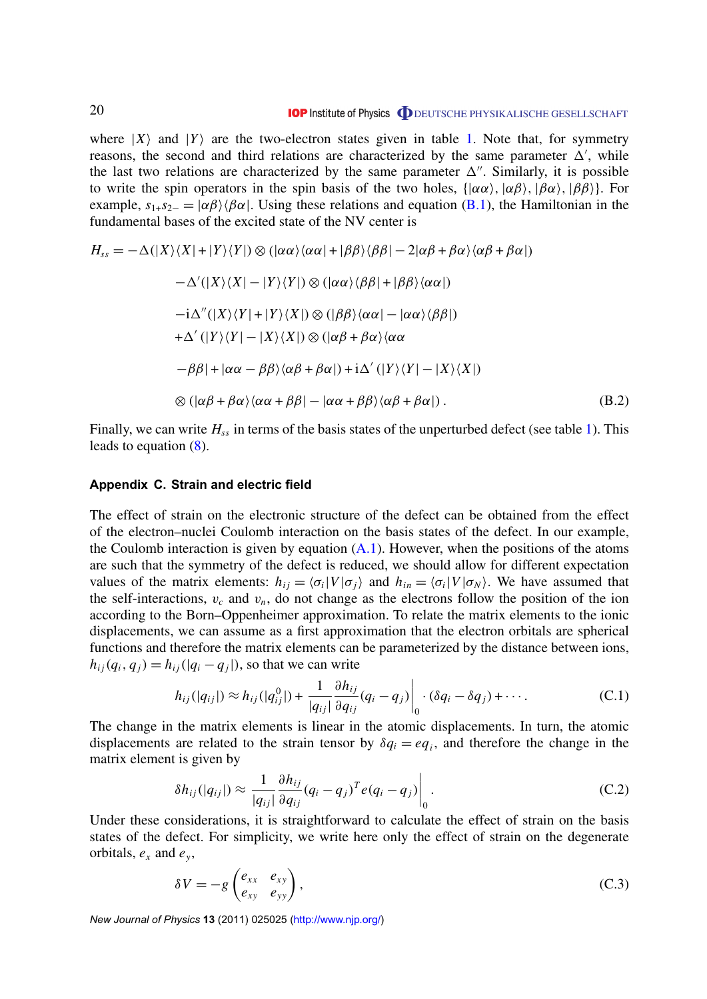<span id="page-20-0"></span>where  $|X\rangle$  and  $|Y\rangle$  are the two-electron states given in table [1.](#page-5-0) Note that, for symmetry reasons, the second and third relations are characterized by the same parameter  $\Delta'$ , while the last two relations are characterized by the same parameter  $\Delta''$ . Similarly, it is possible to write the spin operators in the spin basis of the two holes,  $\{|\alpha\alpha\rangle, |\alpha\beta\rangle, |\beta\alpha\rangle, |\beta\beta\rangle\}$ . For example,  $s_{1+}s_{2-} = |\alpha\beta\rangle\langle\beta\alpha|$ . Using these relations and equation [\(B.1\)](#page-19-0), the Hamiltonian in the fundamental bases of the excited state of the NV center is

$$
H_{ss} = -\Delta(|X\rangle\langle X| + |Y\rangle\langle Y|) \otimes (|\alpha\alpha\rangle\langle\alpha\alpha| + |\beta\beta\rangle\langle\beta\beta| - 2|\alpha\beta + \beta\alpha\rangle\langle\alpha\beta + \beta\alpha|)
$$
  
\n
$$
-\Delta'(|X\rangle\langle X| - |Y\rangle\langle Y|) \otimes (|\alpha\alpha\rangle\langle\beta\beta| + |\beta\beta\rangle\langle\alpha\alpha|)
$$
  
\n
$$
-i\Delta''(|X\rangle\langle Y| + |Y\rangle\langle X|) \otimes (|\beta\beta\rangle\langle\alpha\alpha| - |\alpha\alpha\rangle\langle\beta\beta|)
$$
  
\n
$$
+\Delta'(|Y\rangle\langle Y| - |X\rangle\langle X|) \otimes (|\alpha\beta + \beta\alpha\rangle\langle\alpha\alpha|
$$
  
\n
$$
-\beta\beta| + |\alpha\alpha - \beta\beta\rangle\langle\alpha\beta + \beta\alpha|) + i\Delta'(|Y\rangle\langle Y| - |X\rangle\langle X|)
$$
  
\n
$$
\otimes (|\alpha\beta + \beta\alpha\rangle\langle\alpha\alpha + \beta\beta| - |\alpha\alpha + \beta\beta\rangle\langle\alpha\beta + \beta\alpha|).
$$
 (B.2)

Finally, we can write  $H_{ss}$  in terms of the basis states of the unperturbed defect (see table [1\)](#page-5-0). This leads to equation [\(8\)](#page-10-0).

#### **Appendix C. Strain and electric field**

The effect of strain on the electronic structure of the defect can be obtained from the effect of the electron–nuclei Coulomb interaction on the basis states of the defect. In our example, the Coulomb interaction is given by equation  $(A.1)$ . However, when the positions of the atoms are such that the symmetry of the defect is reduced, we should allow for different expectation values of the matrix elements:  $h_{ij} = \langle \sigma_i | V | \sigma_j \rangle$  and  $h_{in} = \langle \sigma_i | V | \sigma_N \rangle$ . We have assumed that the self-interactions,  $v_c$  and  $v_n$ , do not change as the electrons follow the position of the ion according to the Born–Oppenheimer approximation. To relate the matrix elements to the ionic displacements, we can assume as a first approximation that the electron orbitals are spherical functions and therefore the matrix elements can be parameterized by the distance between ions,  $h_{ij}(q_i, q_j) = h_{ij}(|q_i - q_j|)$ , so that we can write

$$
h_{ij}(|q_{ij}|) \approx h_{ij}(|q_{ij}^0|) + \frac{1}{|q_{ij}|} \frac{\partial h_{ij}}{\partial q_{ij}}(q_i - q_j)\Big|_0 \cdot (\delta q_i - \delta q_j) + \cdots. \tag{C.1}
$$

The change in the matrix elements is linear in the atomic displacements. In turn, the atomic displacements are related to the strain tensor by  $\delta q_i = e q_i$ , and therefore the change in the matrix element is given by

$$
\delta h_{ij}(|q_{ij}|) \approx \frac{1}{|q_{ij}|} \frac{\partial h_{ij}}{\partial q_{ij}} (q_i - q_j)^T e(q_i - q_j) \Big|_0.
$$
 (C.2)

Under these considerations, it is straightforward to calculate the effect of strain on the basis states of the defect. For simplicity, we write here only the effect of strain on the degenerate orbitals, *e<sup>x</sup>* and *e<sup>y</sup>* ,

$$
\delta V = -g \begin{pmatrix} e_{xx} & e_{xy} \\ e_{xy} & e_{yy} \end{pmatrix}, \tag{C.3}
$$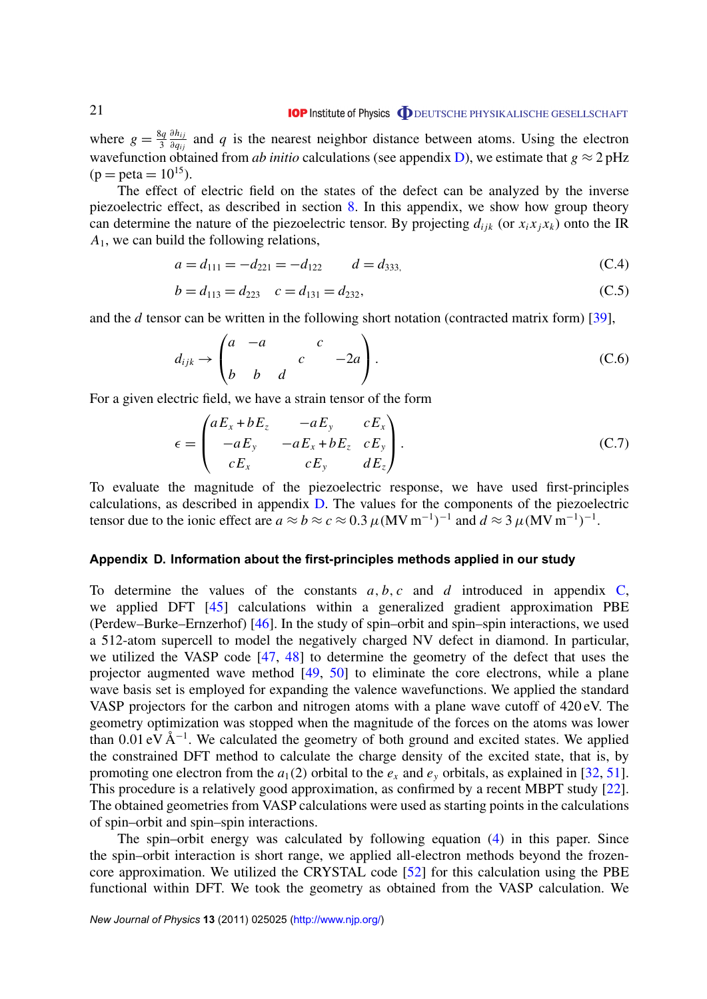<span id="page-21-0"></span>where  $g = \frac{8q}{3}$ 3  $∂h_{ij}$  $\frac{\partial n_{ij}}{\partial q_{ij}}$  and *q* is the nearest neighbor distance between atoms. Using the electron wavefunction obtained from *ab initio* calculations (see appendix D), we estimate that  $g \approx 2$  pHz  $(p = peta = 10^{15})$ .

The effect of electric field on the states of the defect can be analyzed by the inverse piezoelectric effect, as described in section [8.](#page-15-0) In this appendix, we show how group theory can determine the nature of the piezoelectric tensor. By projecting  $d_{ijk}$  (or  $x_i x_j x_k$ ) onto the IR *A*1, we can build the following relations,

$$
a = d_{111} = -d_{221} = -d_{122} \qquad d = d_{333}, \tag{C.4}
$$

$$
b = d_{113} = d_{223} \quad c = d_{131} = d_{232}, \tag{C.5}
$$

and the *d* tensor can be written in the following short notation (contracted matrix form) [\[39\]](#page-24-0),

$$
d_{ijk} \rightarrow \begin{pmatrix} a & -a & c \\ b & b & d \end{pmatrix} . \tag{C.6}
$$

For a given electric field, we have a strain tensor of the form

$$
\epsilon = \begin{pmatrix} aE_x + bE_z & -aE_y & cE_x \\ -aE_y & -aE_x + bE_z & cE_y \\ cE_x & cE_y & dE_z \end{pmatrix}.
$$
 (C.7)

To evaluate the magnitude of the piezoelectric response, we have used first-principles calculations, as described in appendix D. The values for the components of the piezoelectric tensor due to the ionic effect are  $a \approx b \approx c \approx 0.3 \,\mu(\text{MV m}^{-1})^{-1}$  and  $d \approx 3 \,\mu(\text{MV m}^{-1})^{-1}$ .

#### **Appendix D. Information about the first-principles methods applied in our study**

To determine the values of the constants  $a, b, c$  and  $d$  introduced in appendix  $C$ , we applied DFT [\[45\]](#page-24-0) calculations within a generalized gradient approximation PBE (Perdew–Burke–Ernzerhof) [\[46\]](#page-24-0). In the study of spin–orbit and spin–spin interactions, we used a 512-atom supercell to model the negatively charged NV defect in diamond. In particular, we utilized the VASP code [\[47,](#page-24-0) [48\]](#page-24-0) to determine the geometry of the defect that uses the projector augmented wave method  $[49, 50]$  $[49, 50]$  $[49, 50]$  to eliminate the core electrons, while a plane wave basis set is employed for expanding the valence wavefunctions. We applied the standard VASP projectors for the carbon and nitrogen atoms with a plane wave cutoff of 420 eV. The geometry optimization was stopped when the magnitude of the forces on the atoms was lower than 0.01 eV Å<sup>−</sup><sup>1</sup> . We calculated the geometry of both ground and excited states. We applied the constrained DFT method to calculate the charge density of the excited state, that is, by promoting one electron from the  $a_1(2)$  orbital to the  $e_x$  and  $e_y$  orbitals, as explained in [\[32,](#page-23-0) [51\]](#page-24-0). This procedure is a relatively good approximation, as confirmed by a recent MBPT study [\[22\]](#page-23-0). The obtained geometries from VASP calculations were used as starting points in the calculations of spin–orbit and spin–spin interactions.

The spin–orbit energy was calculated by following equation [\(4\)](#page-7-0) in this paper. Since the spin–orbit interaction is short range, we applied all-electron methods beyond the frozencore approximation. We utilized the CRYSTAL code [\[52\]](#page-24-0) for this calculation using the PBE functional within DFT. We took the geometry as obtained from the VASP calculation. We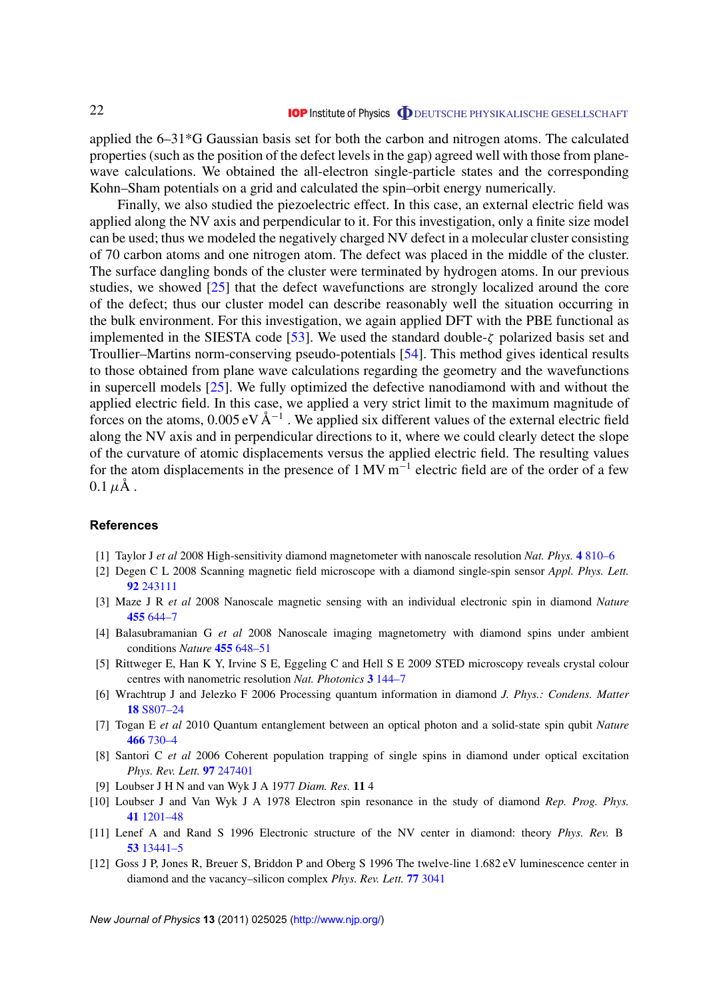<span id="page-22-0"></span>applied the 6–31\*G Gaussian basis set for both the carbon and nitrogen atoms. The calculated properties (such as the position of the defect levels in the gap) agreed well with those from planewave calculations. We obtained the all-electron single-particle states and the corresponding Kohn–Sham potentials on a grid and calculated the spin–orbit energy numerically.

Finally, we also studied the piezoelectric effect. In this case, an external electric field was applied along the NV axis and perpendicular to it. For this investigation, only a finite size model can be used; thus we modeled the negatively charged NV defect in a molecular cluster consisting of 70 carbon atoms and one nitrogen atom. The defect was placed in the middle of the cluster. The surface dangling bonds of the cluster were terminated by hydrogen atoms. In our previous studies, we showed [\[25\]](#page-23-0) that the defect wavefunctions are strongly localized around the core of the defect; thus our cluster model can describe reasonably well the situation occurring in the bulk environment. For this investigation, we again applied DFT with the PBE functional as implemented in the SIESTA code [\[53\]](#page-24-0). We used the standard double- $\zeta$  polarized basis set and Troullier–Martins norm-conserving pseudo-potentials [\[54\]](#page-24-0). This method gives identical results to those obtained from plane wave calculations regarding the geometry and the wavefunctions in supercell models [\[25\]](#page-23-0). We fully optimized the defective nanodiamond with and without the applied electric field. In this case, we applied a very strict limit to the maximum magnitude of forces on the atoms, 0.005 eV Å<sup>−</sup><sup>1</sup> . We applied six different values of the external electric field along the NV axis and in perpendicular directions to it, where we could clearly detect the slope of the curvature of atomic displacements versus the applied electric field. The resulting values for the atom displacements in the presence of  $1 \text{ MV m}^{-1}$  electric field are of the order of a few  $0.1 \mu \text{\AA}$ .

#### **References**

- [1] Taylor J *et al* 2008 High-sensitivity diamond magnetometer with nanoscale resolution *Nat. Phys.* **4** [810–6](http://dx.doi.org/10.1038/nphys1075)
- [2] Degen C L 2008 Scanning magnetic field microscope with a diamond single-spin sensor *Appl. Phys. Lett.* **92** [243111](http://dx.doi.org/10.1063/1.2943282)
- [3] Maze J R *et al* 2008 Nanoscale magnetic sensing with an individual electronic spin in diamond *Nature* **455** [644–7](http://dx.doi.org/10.1038/nature07279)
- [4] Balasubramanian G *et al* 2008 Nanoscale imaging magnetometry with diamond spins under ambient conditions *Nature* **455** [648–51](http://dx.doi.org/10.1038/nature07278)
- [5] Rittweger E, Han K Y, Irvine S E, Eggeling C and Hell S E 2009 STED microscopy reveals crystal colour centres with nanometric resolution *Nat. Photonics* **3** [144–7](http://dx.doi.org/10.1038/nphoton.2009.2)
- [6] Wrachtrup J and Jelezko F 2006 Processing quantum information in diamond *J. Phys.: Condens. Matter* **18** [S807–24](http://dx.doi.org/10.1088/0953-8984/18/21/S08)
- [7] Togan E *et al* 2010 Quantum entanglement between an optical photon and a solid-state spin qubit *Nature* **466** [730–4](http://dx.doi.org/10.1038/nature09256)
- [8] Santori C *et al* 2006 Coherent population trapping of single spins in diamond under optical excitation *Phys. Rev. Lett.* **97** [247401](http://dx.doi.org/10.1103/PhysRevLett.97.247401)
- [9] Loubser J H N and van Wyk J A 1977 *Diam. Res.* **11** 4
- [10] Loubser J and Van Wyk J A 1978 Electron spin resonance in the study of diamond *Rep. Prog. Phys.* **41** [1201–48](http://dx.doi.org/10.1088/0034-4885/41/8/002)
- [11] Lenef A and Rand S 1996 Electronic structure of the NV center in diamond: theory *Phys. Rev.* B **53** [13441–5](http://dx.doi.org/10.1103/PhysRevB.53.13441)
- [12] Goss J P, Jones R, Breuer S, Briddon P and Oberg S 1996 The twelve-line 1.682 eV luminescence center in diamond and the vacancy–silicon complex *Phys. Rev. Lett.* **77** [3041](http://dx.doi.org/10.1103/PhysRevLett.77.3041)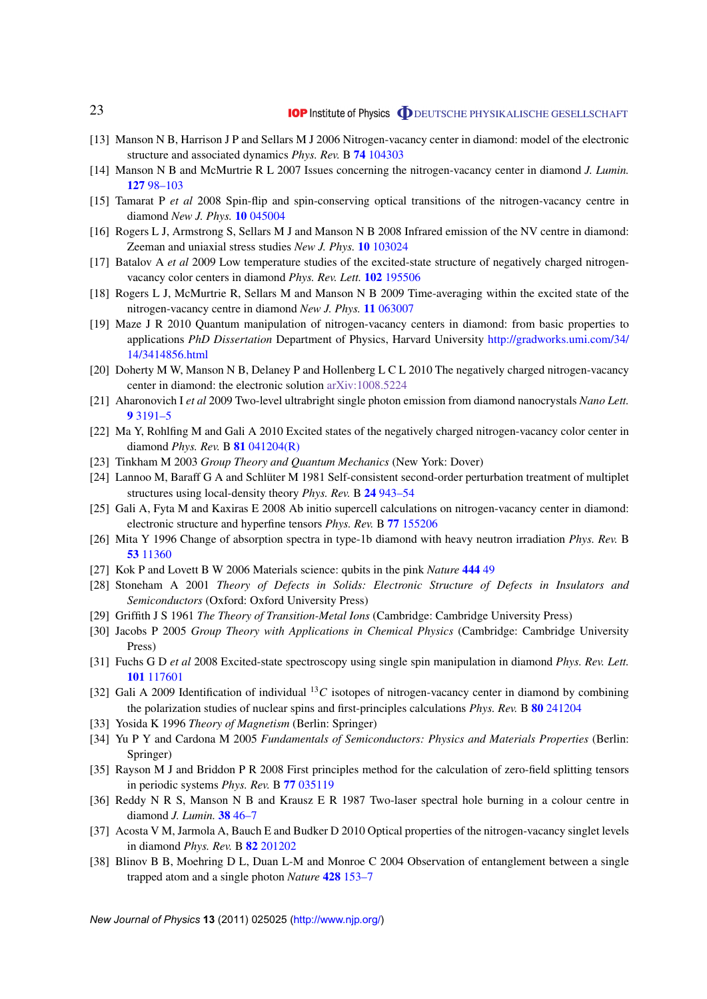- [13] Manson N B, Harrison J P and Sellars M J 2006 Nitrogen-vacancy center in diamond: model of the electronic structure and associated dynamics *Phys. Rev.* B **74** [104303](http://dx.doi.org/10.1103/PhysRevB.74.104303)
- [14] Manson N B and McMurtrie R L 2007 Issues concerning the nitrogen-vacancy center in diamond *J. Lumin.* **127** [98–103](http://dx.doi.org/10.1016/j.jlumin.2007.02.013)
- [15] Tamarat P *et al* 2008 Spin-flip and spin-conserving optical transitions of the nitrogen-vacancy centre in diamond *New J. Phys.* **10** [045004](http://dx.doi.org/10.1088/1367-2630/10/4/045004)
- [16] Rogers L J, Armstrong S, Sellars M J and Manson N B 2008 Infrared emission of the NV centre in diamond: Zeeman and uniaxial stress studies *New J. Phys.* **10** [103024](http://dx.doi.org/10.1088/1367-2630/10/10/103024)
- [17] Batalov A *et al* 2009 Low temperature studies of the excited-state structure of negatively charged nitrogenvacancy color centers in diamond *Phys. Rev. Lett.* **102** [195506](http://dx.doi.org/10.1103/PhysRevLett.102.195506)
- [18] Rogers L J, McMurtrie R, Sellars M and Manson N B 2009 Time-averaging within the excited state of the nitrogen-vacancy centre in diamond *New J. Phys.* **11** [063007](http://dx.doi.org/10.1088/1367-2630/11/6/063007)
- [19] Maze J R 2010 Quantum manipulation of nitrogen-vacancy centers in diamond: from basic properties to applications *PhD Dissertation* Department of Physics, Harvard University [http://gradworks.umi.com/34/](http://gradworks.umi.com/34/14/3414856.html) [14/3414856.html](http://gradworks.umi.com/34/14/3414856.html)
- [20] Doherty M W, Manson N B, Delaney P and Hollenberg L C L 2010 The negatively charged nitrogen-vacancy center in diamond: the electronic solution [arXiv:1008.5224](http://arxiv.org/abs/arXiv:1008.5224)
- [21] Aharonovich I *et al* 2009 Two-level ultrabright single photon emission from diamond nanocrystals *Nano Lett.* **9** [3191–5](http://dx.doi.org/10.1021/nl9014167)
- [22] Ma Y, Rohlfing M and Gali A 2010 Excited states of the negatively charged nitrogen-vacancy color center in diamond *Phys. Rev.* B **81** [041204\(R\)](http://dx.doi.org/10.1103/PhysRevB.81.041204)
- [23] Tinkham M 2003 *Group Theory and Quantum Mechanics* (New York: Dover)
- [24] Lannoo M, Baraff G A and Schlüter M 1981 Self-consistent second-order perturbation treatment of multiplet structures using local-density theory *Phys. Rev.* B **24** [943–54](http://dx.doi.org/10.1103/PhysRevB.24.943)
- [25] Gali A, Fyta M and Kaxiras E 2008 Ab initio supercell calculations on nitrogen-vacancy center in diamond: electronic structure and hyperfine tensors *Phys. Rev.* B **77** [155206](http://dx.doi.org/10.1103/PhysRevB.77.155206)
- [26] Mita Y 1996 Change of absorption spectra in type-1b diamond with heavy neutron irradiation *Phys. Rev.* B **53** [11360](http://dx.doi.org/10.1103/PhysRevB.53.11360)
- [27] Kok P and Lovett B W 2006 Materials science: qubits in the pink *Nature* **[444](http://dx.doi.org/10.1038/444049a)** 49
- [28] Stoneham A 2001 *Theory of Defects in Solids: Electronic Structure of Defects in Insulators and Semiconductors* (Oxford: Oxford University Press)
- [29] Griffith J S 1961 *The Theory of Transition-Metal Ions* (Cambridge: Cambridge University Press)
- [30] Jacobs P 2005 *Group Theory with Applications in Chemical Physics* (Cambridge: Cambridge University Press)
- [31] Fuchs G D *et al* 2008 Excited-state spectroscopy using single spin manipulation in diamond *Phys. Rev. Lett.* **101** [117601](http://dx.doi.org/10.1103/PhysRevLett.101.117601)
- [32] Gali A 2009 Identification of individual <sup>13</sup>*C* isotopes of nitrogen-vacancy center in diamond by combining the polarization studies of nuclear spins and first-principles calculations *Phys. Rev.* B **80** [241204](http://dx.doi.org/10.1103/PhysRevB.80.241204)
- [33] Yosida K 1996 *Theory of Magnetism* (Berlin: Springer)
- [34] Yu P Y and Cardona M 2005 *Fundamentals of Semiconductors: Physics and Materials Properties* (Berlin: Springer)
- [35] Rayson M J and Briddon P R 2008 First principles method for the calculation of zero-field splitting tensors in periodic systems *Phys. Rev.* B **77** [035119](http://dx.doi.org/10.1103/PhysRevB.77.035119)
- [36] Reddy N R S, Manson N B and Krausz E R 1987 Two-laser spectral hole burning in a colour centre in diamond *J. Lumin.* **38** [46–7](http://dx.doi.org/10.1016/0022-2313(87)90057-3)
- [37] Acosta V M, Jarmola A, Bauch E and Budker D 2010 Optical properties of the nitrogen-vacancy singlet levels in diamond *Phys. Rev.* B **82** [201202](http://dx.doi.org/10.1103/PhysRevB.82.201202)
- [38] Blinov B B, Moehring D L, Duan L-M and Monroe C 2004 Observation of entanglement between a single trapped atom and a single photon *Nature* **428** [153–7](http://dx.doi.org/10.1038/nature02377)

*New Journal of Physics* **13** (2011) 025025 [\(http://www.njp.org/\)](http://www.njp.org/)

<span id="page-23-0"></span>23